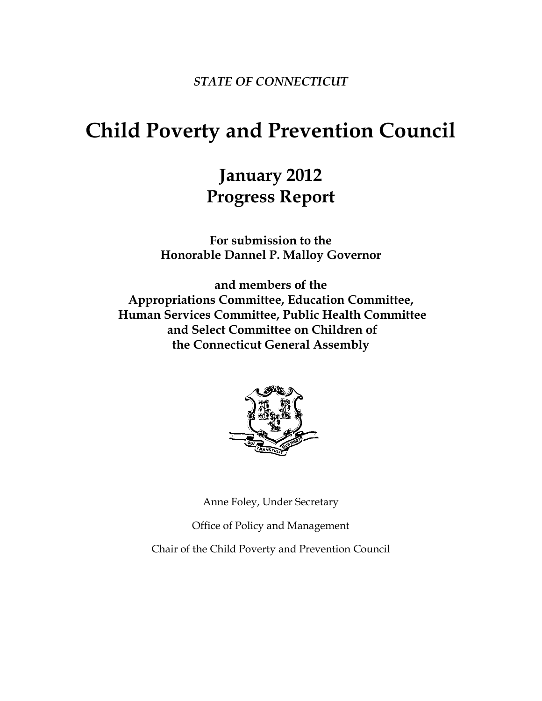*STATE OF CONNECTICUT*

# **Child Poverty and Prevention Council**

# **January 2012 Progress Report**

**For submission to the Honorable Dannel P. Malloy Governor**

**and members of the Appropriations Committee, Education Committee, Human Services Committee, Public Health Committee and Select Committee on Children of the Connecticut General Assembly**



Anne Foley, Under Secretary

Office of Policy and Management

Chair of the Child Poverty and Prevention Council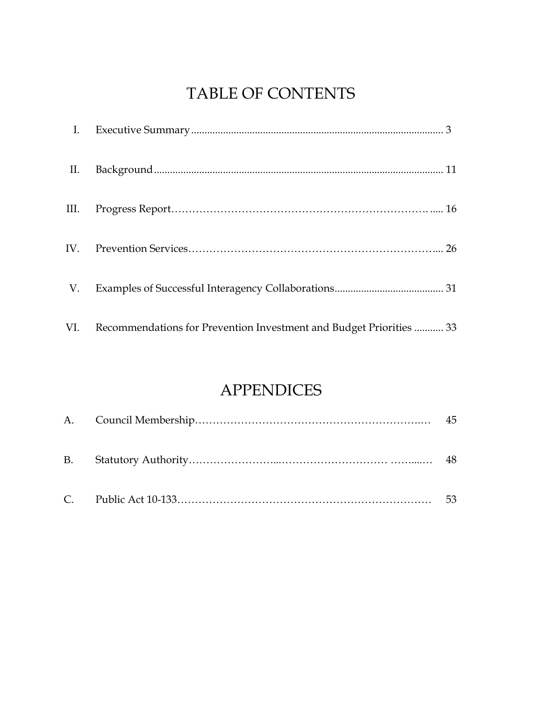## TABLE OF CONTENTS

| $\mathbf{I}$ . |                                                                         |
|----------------|-------------------------------------------------------------------------|
| II.            |                                                                         |
| III.           |                                                                         |
|                |                                                                         |
| V.             |                                                                         |
|                | VI. Recommendations for Prevention Investment and Budget Priorities  33 |

## APPENDICES

|  | 45 |
|--|----|
|  | 48 |
|  | 53 |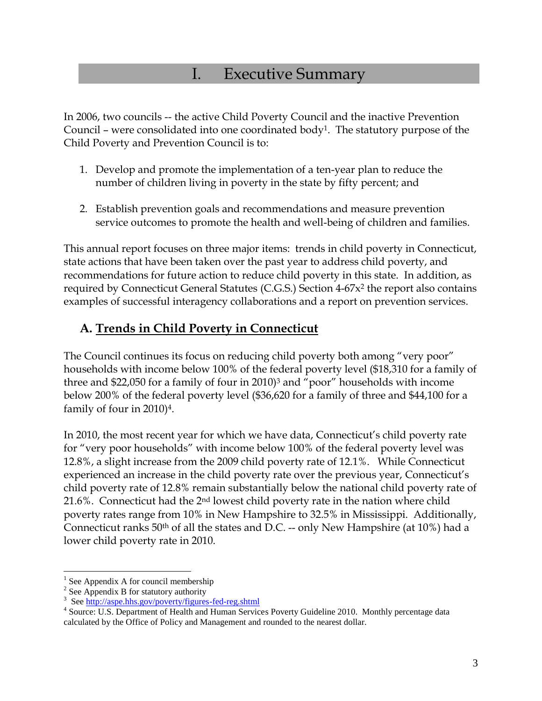## I. Executive Summary

In 2006, two councils -- the active Child Poverty Council and the inactive Prevention Council – were consolidated into one coordinated body<sup>1</sup>. The statutory purpose of the Child Poverty and Prevention Council is to:

- 1. Develop and promote the implementation of a ten-year plan to reduce the number of children living in poverty in the state by fifty percent; and
- 2. Establish prevention goals and recommendations and measure prevention service outcomes to promote the health and well-being of children and families.

This annual report focuses on three major items: trends in child poverty in Connecticut, state actions that have been taken over the past year to address child poverty, and recommendations for future action to reduce child poverty in this state. In addition, as required by Connecticut General Statutes (C.G.S.) Section 4-67x<sup>2</sup> the report also contains examples of successful interagency collaborations and a report on prevention services.

### **A. Trends in Child Poverty in Connecticut**

The Council continues its focus on reducing child poverty both among "very poor" households with income below 100% of the federal poverty level (\$18,310 for a family of three and \$22,050 for a family of four in 2010)<sup>3</sup> and "poor" households with income below 200% of the federal poverty level (\$36,620 for a family of three and \$44,100 for a family of four in 2010)4.

In 2010, the most recent year for which we have data, Connecticut's child poverty rate for "very poor households" with income below 100% of the federal poverty level was 12.8%, a slight increase from the 2009 child poverty rate of 12.1%. While Connecticut experienced an increase in the child poverty rate over the previous year, Connecticut's child poverty rate of 12.8% remain substantially below the national child poverty rate of 21.6%. Connecticut had the 2nd lowest child poverty rate in the nation where child poverty rates range from 10% in New Hampshire to 32.5% in Mississippi. Additionally, Connecticut ranks 50th of all the states and D.C. -- only New Hampshire (at 10%) had a lower child poverty rate in 2010.

 $\overline{a}$ 

<sup>&</sup>lt;sup>1</sup> See Appendix A for council membership

<sup>&</sup>lt;sup>2</sup> See Appendix B for statutory authority

<sup>&</sup>lt;sup>3</sup> See http://aspe.hhs.gov/poverty/figures-fed-reg.shtml

<sup>&</sup>lt;sup>4</sup> Source: U.S. Department of Health and Human Services Poverty Guideline 2010. Monthly percentage data calculated by the Office of Policy and Management and rounded to the nearest dollar.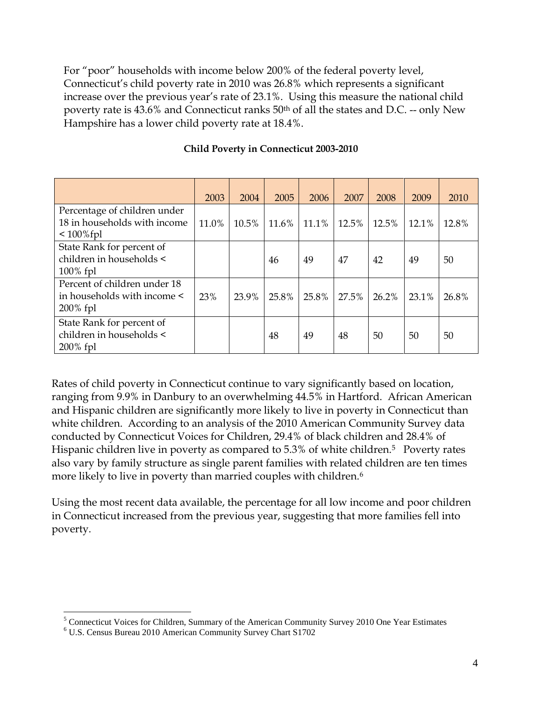For "poor" households with income below 200% of the federal poverty level, Connecticut's child poverty rate in 2010 was 26.8% which represents a significant increase over the previous year's rate of 23.1%. Using this measure the national child poverty rate is 43.6% and Connecticut ranks 50th of all the states and D.C. -- only New Hampshire has a lower child poverty rate at 18.4%.

|                                                                             | 2003  | 2004  | 2005  | 2006  | 2007  | 2008  | 2009  | 2010  |
|-----------------------------------------------------------------------------|-------|-------|-------|-------|-------|-------|-------|-------|
| Percentage of children under<br>18 in households with income<br>$100\%$ fpl | 11.0% | 10.5% | 11.6% | 11.1% | 12.5% | 12.5% | 12.1% | 12.8% |
| State Rank for percent of<br>children in households <<br>$100\%$ fpl        |       |       | 46    | 49    | 47    | 42    | 49    | 50    |
| Percent of children under 18<br>in households with income <<br>$200\%$ fpl  | 23%   | 23.9% | 25.8% | 25.8% | 27.5% | 26.2% | 23.1% | 26.8% |
| State Rank for percent of<br>children in households <<br>$200\%$ fpl        |       |       | 48    | 49    | 48    | 50    | 50    | 50    |

#### **Child Poverty in Connecticut 2003-2010**

Rates of child poverty in Connecticut continue to vary significantly based on location, ranging from 9.9% in Danbury to an overwhelming 44.5% in Hartford. African American and Hispanic children are significantly more likely to live in poverty in Connecticut than white children. According to an analysis of the 2010 American Community Survey data conducted by Connecticut Voices for Children, 29.4% of black children and 28.4% of Hispanic children live in poverty as compared to 5.3% of white children.<sup>5</sup> Poverty rates also vary by family structure as single parent families with related children are ten times more likely to live in poverty than married couples with children.<sup>6</sup>

Using the most recent data available, the percentage for all low income and poor children in Connecticut increased from the previous year, suggesting that more families fell into poverty.

 $\overline{a}$ 

<sup>&</sup>lt;sup>5</sup> Connecticut Voices for Children, Summary of the American Community Survey 2010 One Year Estimates

<sup>6</sup> U.S. Census Bureau 2010 American Community Survey Chart S1702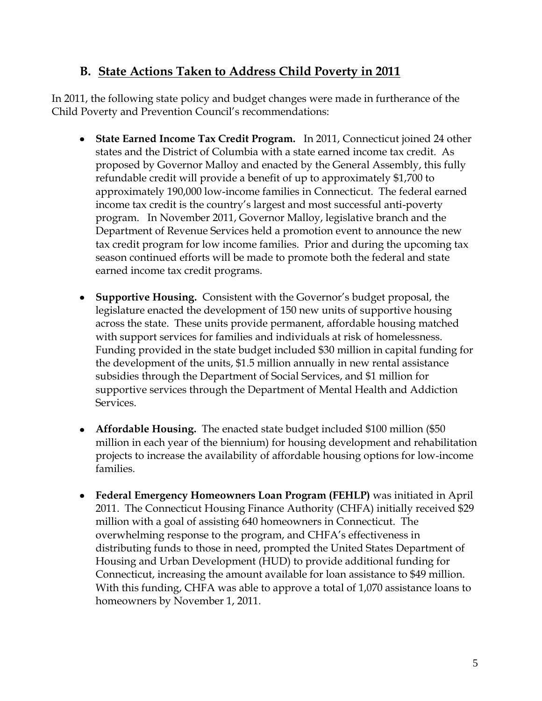### **B. State Actions Taken to Address Child Poverty in 2011**

In 2011, the following state policy and budget changes were made in furtherance of the Child Poverty and Prevention Council's recommendations:

- **State Earned Income Tax Credit Program.** In 2011, Connecticut joined 24 other states and the District of Columbia with a state earned income tax credit. As proposed by Governor Malloy and enacted by the General Assembly, this fully refundable credit will provide a benefit of up to approximately \$1,700 to approximately 190,000 low-income families in Connecticut. The federal earned income tax credit is the country's largest and most successful anti-poverty program. In November 2011, Governor Malloy, legislative branch and the Department of Revenue Services held a promotion event to announce the new tax credit program for low income families. Prior and during the upcoming tax season continued efforts will be made to promote both the federal and state earned income tax credit programs.
- **Supportive Housing.** Consistent with the Governor's budget proposal, the legislature enacted the development of 150 new units of supportive housing across the state. These units provide permanent, affordable housing matched with support services for families and individuals at risk of homelessness. Funding provided in the state budget included \$30 million in capital funding for the development of the units, \$1.5 million annually in new rental assistance subsidies through the Department of Social Services, and \$1 million for supportive services through the Department of Mental Health and Addiction Services.
- **Affordable Housing.** The enacted state budget included \$100 million (\$50 million in each year of the biennium) for housing development and rehabilitation projects to increase the availability of affordable housing options for low-income families.
- **Federal Emergency Homeowners Loan Program (FEHLP)** was initiated in April 2011. The Connecticut Housing Finance Authority (CHFA) initially received \$29 million with a goal of assisting 640 homeowners in Connecticut. The overwhelming response to the program, and CHFA's effectiveness in distributing funds to those in need, prompted the United States Department of Housing and Urban Development (HUD) to provide additional funding for Connecticut, increasing the amount available for loan assistance to \$49 million. With this funding, CHFA was able to approve a total of 1,070 assistance loans to homeowners by November 1, 2011.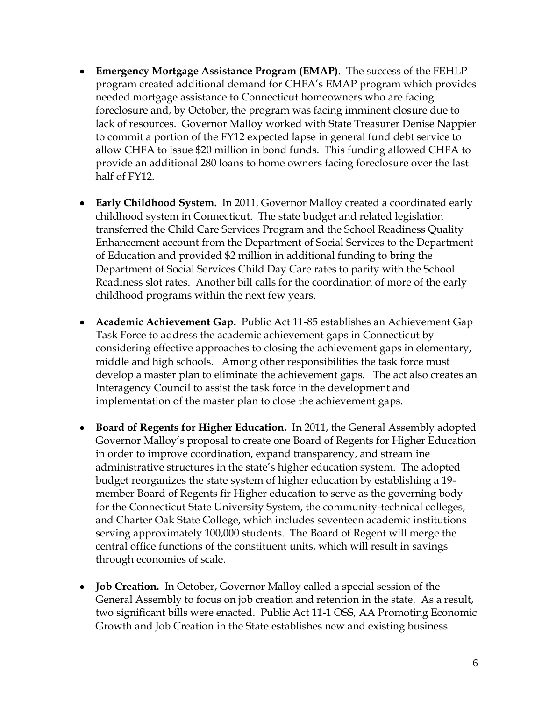- **Emergency Mortgage Assistance Program (EMAP)**. The success of the FEHLP program created additional demand for CHFA's EMAP program which provides needed mortgage assistance to Connecticut homeowners who are facing foreclosure and, by October, the program was facing imminent closure due to lack of resources. Governor Malloy worked with State Treasurer Denise Nappier to commit a portion of the FY12 expected lapse in general fund debt service to allow CHFA to issue \$20 million in bond funds. This funding allowed CHFA to provide an additional 280 loans to home owners facing foreclosure over the last half of FY12.
- **Early Childhood System.** In 2011, Governor Malloy created a coordinated early childhood system in Connecticut. The state budget and related legislation transferred the Child Care Services Program and the School Readiness Quality Enhancement account from the Department of Social Services to the Department of Education and provided \$2 million in additional funding to bring the Department of Social Services Child Day Care rates to parity with the School Readiness slot rates. Another bill calls for the coordination of more of the early childhood programs within the next few years.
- **Academic Achievement Gap.** Public Act 11-85 establishes an Achievement Gap Task Force to address the academic achievement gaps in Connecticut by considering effective approaches to closing the achievement gaps in elementary, middle and high schools. Among other responsibilities the task force must develop a master plan to eliminate the achievement gaps. The act also creates an Interagency Council to assist the task force in the development and implementation of the master plan to close the achievement gaps.
- **Board of Regents for Higher Education.** In 2011, the General Assembly adopted Governor Malloy's proposal to create one Board of Regents for Higher Education in order to improve coordination, expand transparency, and streamline administrative structures in the state's higher education system. The adopted budget reorganizes the state system of higher education by establishing a 19 member Board of Regents fir Higher education to serve as the governing body for the Connecticut State University System, the community-technical colleges, and Charter Oak State College, which includes seventeen academic institutions serving approximately 100,000 students. The Board of Regent will merge the central office functions of the constituent units, which will result in savings through economies of scale.
- **Job Creation.** In October, Governor Malloy called a special session of the General Assembly to focus on job creation and retention in the state. As a result, two significant bills were enacted. Public Act 11-1 OSS, AA Promoting Economic Growth and Job Creation in the State establishes new and existing business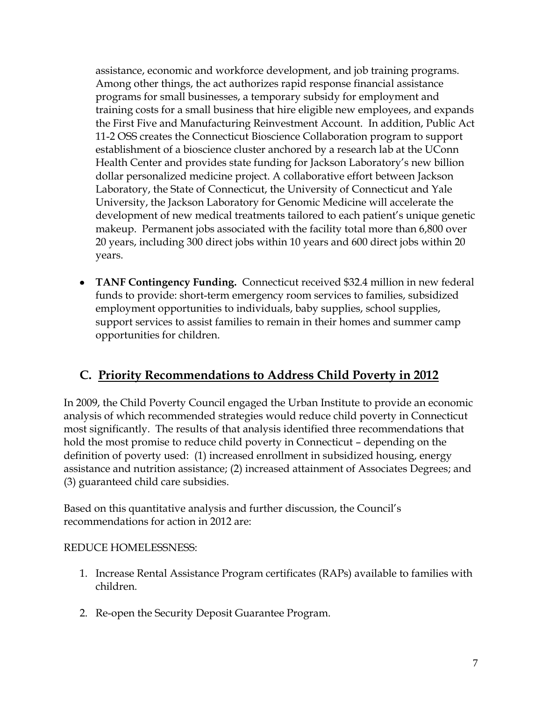assistance, economic and workforce development, and job training programs. Among other things, the act authorizes rapid response financial assistance programs for small businesses, a temporary subsidy for employment and training costs for a small business that hire eligible new employees, and expands the First Five and Manufacturing Reinvestment Account. In addition, Public Act 11-2 OSS creates the Connecticut Bioscience Collaboration program to support establishment of a bioscience cluster anchored by a research lab at the UConn Health Center and provides state funding for Jackson Laboratory's new billion dollar personalized medicine project. A collaborative effort between Jackson Laboratory, the State of Connecticut, the University of Connecticut and Yale University, the Jackson Laboratory for Genomic Medicine will accelerate the development of new medical treatments tailored to each patient's unique genetic makeup. Permanent jobs associated with the facility total more than 6,800 over 20 years, including 300 direct jobs within 10 years and 600 direct jobs within 20 years.

**TANF Contingency Funding.** Connecticut received \$32.4 million in new federal funds to provide: short-term emergency room services to families, subsidized employment opportunities to individuals, baby supplies, school supplies, support services to assist families to remain in their homes and summer camp opportunities for children.

### **C. Priority Recommendations to Address Child Poverty in 2012**

In 2009, the Child Poverty Council engaged the Urban Institute to provide an economic analysis of which recommended strategies would reduce child poverty in Connecticut most significantly. The results of that analysis identified three recommendations that hold the most promise to reduce child poverty in Connecticut – depending on the definition of poverty used: (1) increased enrollment in subsidized housing, energy assistance and nutrition assistance; (2) increased attainment of Associates Degrees; and (3) guaranteed child care subsidies.

Based on this quantitative analysis and further discussion, the Council's recommendations for action in 2012 are:

#### REDUCE HOMELESSNESS:

- 1. Increase Rental Assistance Program certificates (RAPs) available to families with children.
- 2. Re-open the Security Deposit Guarantee Program.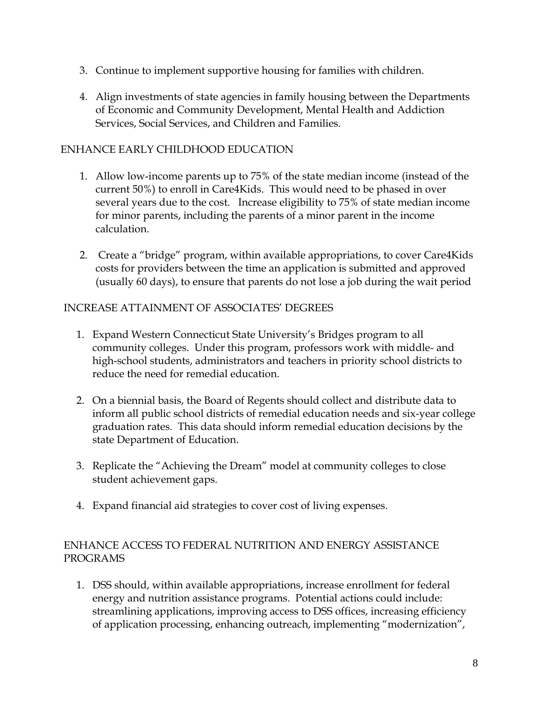- 3. Continue to implement supportive housing for families with children.
- 4. Align investments of state agencies in family housing between the Departments of Economic and Community Development, Mental Health and Addiction Services, Social Services, and Children and Families.

#### ENHANCE EARLY CHILDHOOD EDUCATION

- 1. Allow low-income parents up to 75% of the state median income (instead of the current 50%) to enroll in Care4Kids. This would need to be phased in over several years due to the cost. Increase eligibility to 75% of state median income for minor parents, including the parents of a minor parent in the income calculation.
- 2. Create a "bridge" program, within available appropriations, to cover Care4Kids costs for providers between the time an application is submitted and approved (usually 60 days), to ensure that parents do not lose a job during the wait period

#### INCREASE ATTAINMENT OF ASSOCIATES' DEGREES

- 1. Expand Western Connecticut State University's Bridges program to all community colleges. Under this program, professors work with middle- and high-school students, administrators and teachers in priority school districts to reduce the need for remedial education.
- 2. On a biennial basis, the Board of Regents should collect and distribute data to inform all public school districts of remedial education needs and six-year college graduation rates. This data should inform remedial education decisions by the state Department of Education.
- 3. Replicate the "Achieving the Dream" model at community colleges to close student achievement gaps.
- 4. Expand financial aid strategies to cover cost of living expenses.

#### ENHANCE ACCESS TO FEDERAL NUTRITION AND ENERGY ASSISTANCE PROGRAMS

1. DSS should, within available appropriations, increase enrollment for federal energy and nutrition assistance programs. Potential actions could include: streamlining applications, improving access to DSS offices, increasing efficiency of application processing, enhancing outreach, implementing "modernization",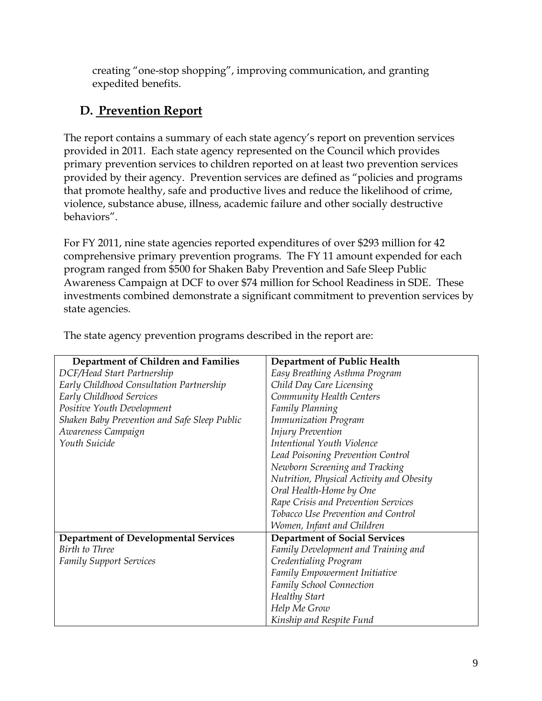creating "one-stop shopping", improving communication, and granting expedited benefits.

### **D. Prevention Report**

The report contains a summary of each state agency's report on prevention services provided in 2011. Each state agency represented on the Council which provides primary prevention services to children reported on at least two prevention services provided by their agency. Prevention services are defined as "policies and programs that promote healthy, safe and productive lives and reduce the likelihood of crime, violence, substance abuse, illness, academic failure and other socially destructive behaviors".

For FY 2011, nine state agencies reported expenditures of over \$293 million for 42 comprehensive primary prevention programs. The FY 11 amount expended for each program ranged from \$500 for Shaken Baby Prevention and Safe Sleep Public Awareness Campaign at DCF to over \$74 million for School Readiness in SDE. These investments combined demonstrate a significant commitment to prevention services by state agencies.

| Department of Children and Families          | Department of Public Health              |
|----------------------------------------------|------------------------------------------|
| DCF/Head Start Partnership                   | Easy Breathing Asthma Program            |
| Early Childhood Consultation Partnership     | Child Day Care Licensing                 |
| Early Childhood Services                     | Community Health Centers                 |
| Positive Youth Development                   | Family Planning                          |
| Shaken Baby Prevention and Safe Sleep Public | <b>Immunization Program</b>              |
| Awareness Campaign                           | <b>Injury Prevention</b>                 |
| Youth Suicide                                | Intentional Youth Violence               |
|                                              | Lead Poisoning Prevention Control        |
|                                              | Newborn Screening and Tracking           |
|                                              | Nutrition, Physical Activity and Obesity |
|                                              | Oral Health-Home by One                  |
|                                              | Rape Crisis and Prevention Services      |
|                                              | Tobacco Use Prevention and Control       |
|                                              | Women, Infant and Children               |
| <b>Department of Developmental Services</b>  | <b>Department of Social Services</b>     |
| Birth to Three                               | Family Development and Training and      |
| <b>Family Support Services</b>               | Credentialing Program                    |
|                                              | Family Empowerment Initiative            |
|                                              | <b>Family School Connection</b>          |
|                                              | Healthy Start                            |
|                                              | Help Me Grow                             |
|                                              | Kinship and Respite Fund                 |

The state agency prevention programs described in the report are: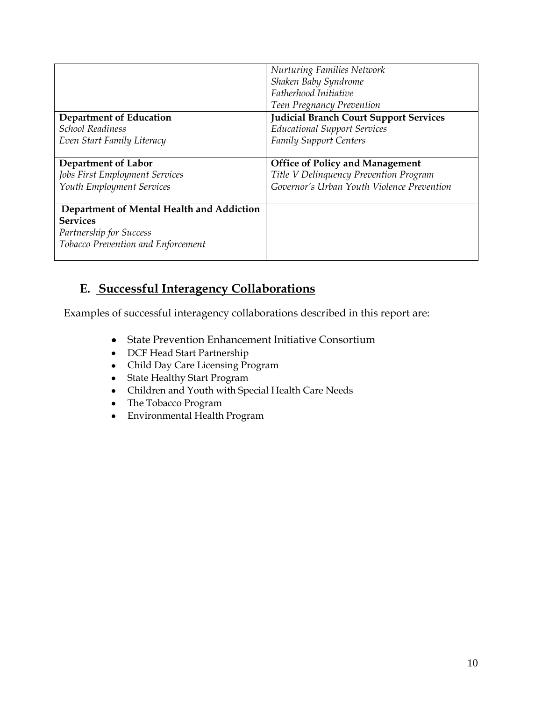|                                           | <b>Nurturing Families Network</b>             |
|-------------------------------------------|-----------------------------------------------|
|                                           | Shaken Baby Syndrome                          |
|                                           | Fatherhood Initiative                         |
|                                           | Teen Pregnancy Prevention                     |
| <b>Department of Education</b>            | <b>Judicial Branch Court Support Services</b> |
| <b>School Readiness</b>                   | <b>Educational Support Services</b>           |
| Even Start Family Literacy                | <b>Family Support Centers</b>                 |
|                                           |                                               |
| <b>Department of Labor</b>                | <b>Office of Policy and Management</b>        |
| Jobs First Employment Services            | Title V Delinquency Prevention Program        |
| Youth Employment Services                 | Governor's Urban Youth Violence Prevention    |
|                                           |                                               |
| Department of Mental Health and Addiction |                                               |
| <b>Services</b>                           |                                               |
| Partnership for Success                   |                                               |
| Tobacco Prevention and Enforcement        |                                               |
|                                           |                                               |

### **E. Successful Interagency Collaborations**

Examples of successful interagency collaborations described in this report are:

- State Prevention Enhancement Initiative Consortium
- DCF Head Start Partnership
- Child Day Care Licensing Program
- State Healthy Start Program
- Children and Youth with Special Health Care Needs
- The Tobacco Program
- Environmental Health Program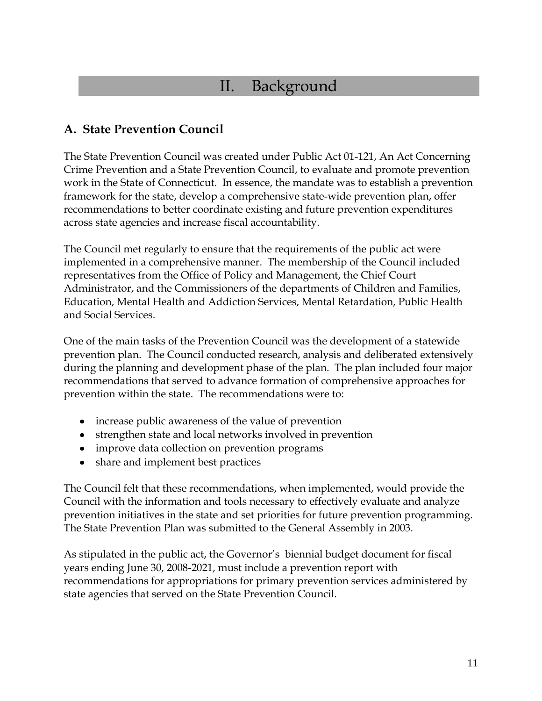## II. Background

### **A. State Prevention Council**

The State Prevention Council was created under Public Act 01-121, An Act Concerning Crime Prevention and a State Prevention Council, to evaluate and promote prevention work in the State of Connecticut. In essence, the mandate was to establish a prevention framework for the state, develop a comprehensive state-wide prevention plan, offer recommendations to better coordinate existing and future prevention expenditures across state agencies and increase fiscal accountability.

The Council met regularly to ensure that the requirements of the public act were implemented in a comprehensive manner. The membership of the Council included representatives from the Office of Policy and Management, the Chief Court Administrator, and the Commissioners of the departments of Children and Families, Education, Mental Health and Addiction Services, Mental Retardation, Public Health and Social Services.

One of the main tasks of the Prevention Council was the development of a statewide prevention plan. The Council conducted research, analysis and deliberated extensively during the planning and development phase of the plan. The plan included four major recommendations that served to advance formation of comprehensive approaches for prevention within the state. The recommendations were to:

- increase public awareness of the value of prevention
- strengthen state and local networks involved in prevention
- improve data collection on prevention programs
- share and implement best practices

The Council felt that these recommendations, when implemented, would provide the Council with the information and tools necessary to effectively evaluate and analyze prevention initiatives in the state and set priorities for future prevention programming. The State Prevention Plan was submitted to the General Assembly in 2003.

As stipulated in the public act, the Governor's biennial budget document for fiscal years ending June 30, 2008-2021, must include a prevention report with recommendations for appropriations for primary prevention services administered by state agencies that served on the State Prevention Council.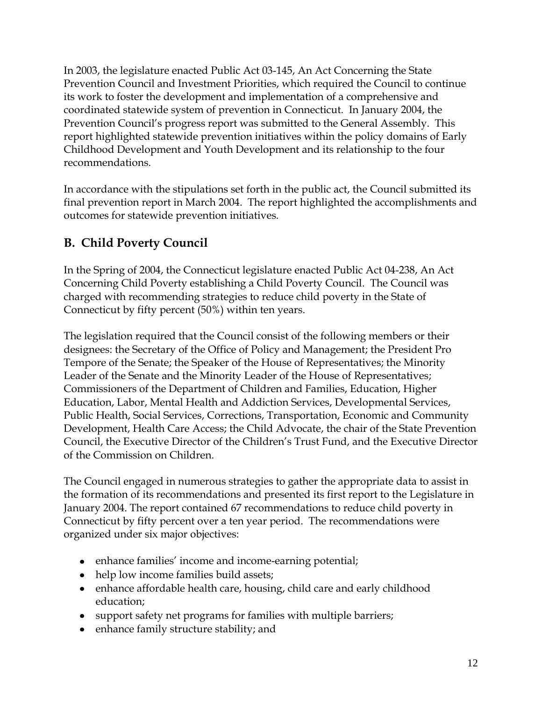In 2003, the legislature enacted Public Act 03-145, An Act Concerning the State Prevention Council and Investment Priorities, which required the Council to continue its work to foster the development and implementation of a comprehensive and coordinated statewide system of prevention in Connecticut. In January 2004, the Prevention Council's progress report was submitted to the General Assembly. This report highlighted statewide prevention initiatives within the policy domains of Early Childhood Development and Youth Development and its relationship to the four recommendations.

In accordance with the stipulations set forth in the public act, the Council submitted its final prevention report in March 2004. The report highlighted the accomplishments and outcomes for statewide prevention initiatives.

## **B. Child Poverty Council**

In the Spring of 2004, the Connecticut legislature enacted Public Act 04-238, An Act Concerning Child Poverty establishing a Child Poverty Council. The Council was charged with recommending strategies to reduce child poverty in the State of Connecticut by fifty percent (50%) within ten years.

The legislation required that the Council consist of the following members or their designees: the Secretary of the Office of Policy and Management; the President Pro Tempore of the Senate; the Speaker of the House of Representatives; the Minority Leader of the Senate and the Minority Leader of the House of Representatives; Commissioners of the Department of Children and Families, Education, Higher Education, Labor, Mental Health and Addiction Services, Developmental Services, Public Health, Social Services, Corrections, Transportation, Economic and Community Development, Health Care Access; the Child Advocate, the chair of the State Prevention Council, the Executive Director of the Children's Trust Fund, and the Executive Director of the Commission on Children.

The Council engaged in numerous strategies to gather the appropriate data to assist in the formation of its recommendations and presented its first report to the Legislature in January 2004. The report contained 67 recommendations to reduce child poverty in Connecticut by fifty percent over a ten year period. The recommendations were organized under six major objectives:

- enhance families' income and income-earning potential;
- help low income families build assets;
- enhance affordable health care, housing, child care and early childhood education;
- support safety net programs for families with multiple barriers;
- enhance family structure stability; and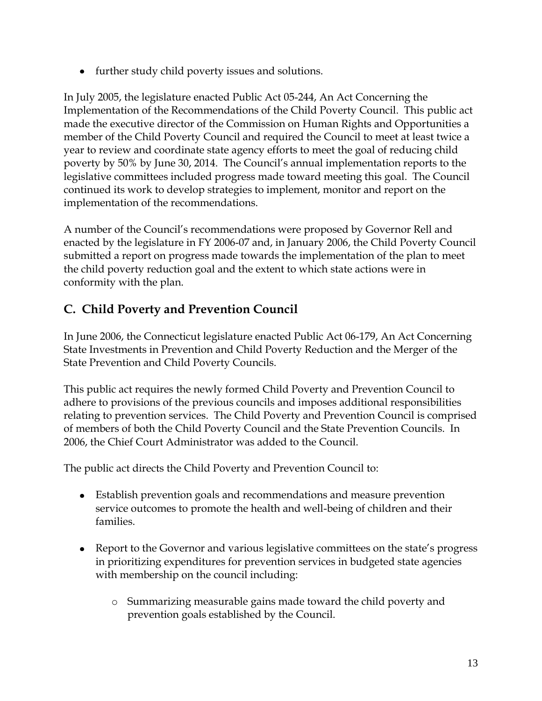• further study child poverty issues and solutions.

In July 2005, the legislature enacted Public Act 05-244, An Act Concerning the Implementation of the Recommendations of the Child Poverty Council. This public act made the executive director of the Commission on Human Rights and Opportunities a member of the Child Poverty Council and required the Council to meet at least twice a year to review and coordinate state agency efforts to meet the goal of reducing child poverty by 50% by June 30, 2014. The Council's annual implementation reports to the legislative committees included progress made toward meeting this goal. The Council continued its work to develop strategies to implement, monitor and report on the implementation of the recommendations.

A number of the Council's recommendations were proposed by Governor Rell and enacted by the legislature in FY 2006-07 and, in January 2006, the Child Poverty Council submitted a report on progress made towards the implementation of the plan to meet the child poverty reduction goal and the extent to which state actions were in conformity with the plan.

### **C. Child Poverty and Prevention Council**

In June 2006, the Connecticut legislature enacted Public Act 06-179, An Act Concerning State Investments in Prevention and Child Poverty Reduction and the Merger of the State Prevention and Child Poverty Councils.

This public act requires the newly formed Child Poverty and Prevention Council to adhere to provisions of the previous councils and imposes additional responsibilities relating to prevention services. The Child Poverty and Prevention Council is comprised of members of both the Child Poverty Council and the State Prevention Councils. In 2006, the Chief Court Administrator was added to the Council.

The public act directs the Child Poverty and Prevention Council to:

- Establish prevention goals and recommendations and measure prevention service outcomes to promote the health and well-being of children and their families.
- Report to the Governor and various legislative committees on the state's progress in prioritizing expenditures for prevention services in budgeted state agencies with membership on the council including:
	- o Summarizing measurable gains made toward the child poverty and prevention goals established by the Council.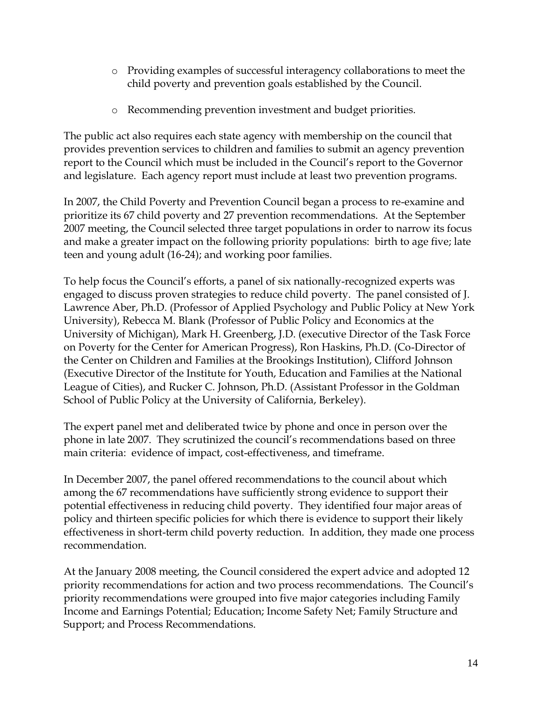- o Providing examples of successful interagency collaborations to meet the child poverty and prevention goals established by the Council.
- o Recommending prevention investment and budget priorities.

The public act also requires each state agency with membership on the council that provides prevention services to children and families to submit an agency prevention report to the Council which must be included in the Council's report to the Governor and legislature. Each agency report must include at least two prevention programs.

In 2007, the Child Poverty and Prevention Council began a process to re-examine and prioritize its 67 child poverty and 27 prevention recommendations. At the September 2007 meeting, the Council selected three target populations in order to narrow its focus and make a greater impact on the following priority populations: birth to age five; late teen and young adult (16-24); and working poor families.

To help focus the Council's efforts, a panel of six nationally-recognized experts was engaged to discuss proven strategies to reduce child poverty. The panel consisted of J. Lawrence Aber, Ph.D. (Professor of Applied Psychology and Public Policy at New York University), Rebecca M. Blank (Professor of Public Policy and Economics at the University of Michigan), Mark H. Greenberg, J.D. (executive Director of the Task Force on Poverty for the Center for American Progress), Ron Haskins, Ph.D. (Co-Director of the Center on Children and Families at the Brookings Institution), Clifford Johnson (Executive Director of the Institute for Youth, Education and Families at the National League of Cities), and Rucker C. Johnson, Ph.D. (Assistant Professor in the Goldman School of Public Policy at the University of California, Berkeley).

The expert panel met and deliberated twice by phone and once in person over the phone in late 2007. They scrutinized the council's recommendations based on three main criteria: evidence of impact, cost-effectiveness, and timeframe.

In December 2007, the panel offered recommendations to the council about which among the 67 recommendations have sufficiently strong evidence to support their potential effectiveness in reducing child poverty. They identified four major areas of policy and thirteen specific policies for which there is evidence to support their likely effectiveness in short-term child poverty reduction. In addition, they made one process recommendation.

At the January 2008 meeting, the Council considered the expert advice and adopted 12 priority recommendations for action and two process recommendations. The Council's priority recommendations were grouped into five major categories including Family Income and Earnings Potential; Education; Income Safety Net; Family Structure and Support; and Process Recommendations.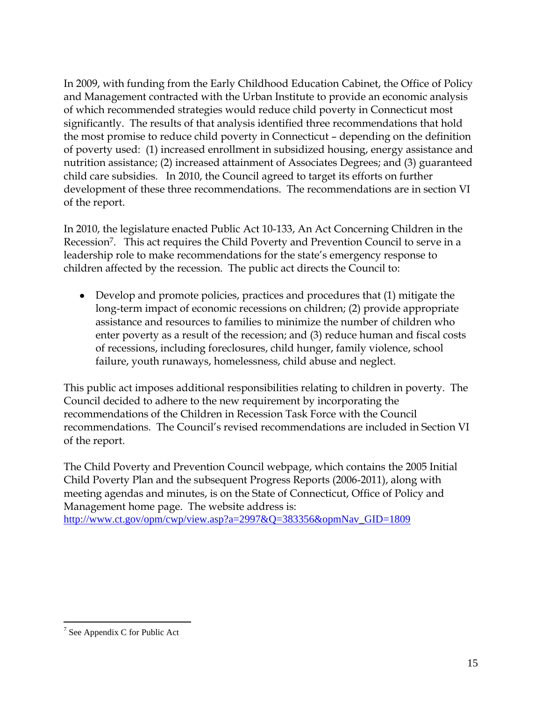In 2009, with funding from the Early Childhood Education Cabinet, the Office of Policy and Management contracted with the Urban Institute to provide an economic analysis of which recommended strategies would reduce child poverty in Connecticut most significantly. The results of that analysis identified three recommendations that hold the most promise to reduce child poverty in Connecticut – depending on the definition of poverty used: (1) increased enrollment in subsidized housing, energy assistance and nutrition assistance; (2) increased attainment of Associates Degrees; and (3) guaranteed child care subsidies. In 2010, the Council agreed to target its efforts on further development of these three recommendations. The recommendations are in section VI of the report.

In 2010, the legislature enacted Public Act 10-133, An Act Concerning Children in the Recession7. This act requires the Child Poverty and Prevention Council to serve in a leadership role to make recommendations for the state's emergency response to children affected by the recession. The public act directs the Council to:

Develop and promote policies, practices and procedures that (1) mitigate the long-term impact of economic recessions on children; (2) provide appropriate assistance and resources to families to minimize the number of children who enter poverty as a result of the recession; and (3) reduce human and fiscal costs of recessions, including foreclosures, child hunger, family violence, school failure, youth runaways, homelessness, child abuse and neglect.

This public act imposes additional responsibilities relating to children in poverty. The Council decided to adhere to the new requirement by incorporating the recommendations of the Children in Recession Task Force with the Council recommendations. The Council's revised recommendations are included in Section VI of the report.

The Child Poverty and Prevention Council webpage, which contains the 2005 Initial Child Poverty Plan and the subsequent Progress Reports (2006-2011), along with meeting agendas and minutes, is on the State of Connecticut, Office of Policy and Management home page. The website address is: [http://www.ct.gov/opm/cwp/view.asp?a=2997&Q=383356&opmNav\\_GID=1809](http://www.ct.gov/opm/cwp/view.asp?a=2997&Q=383356&opmNav_GID=1809)

 $\overline{a}$ 

 $7$  See Appendix C for Public Act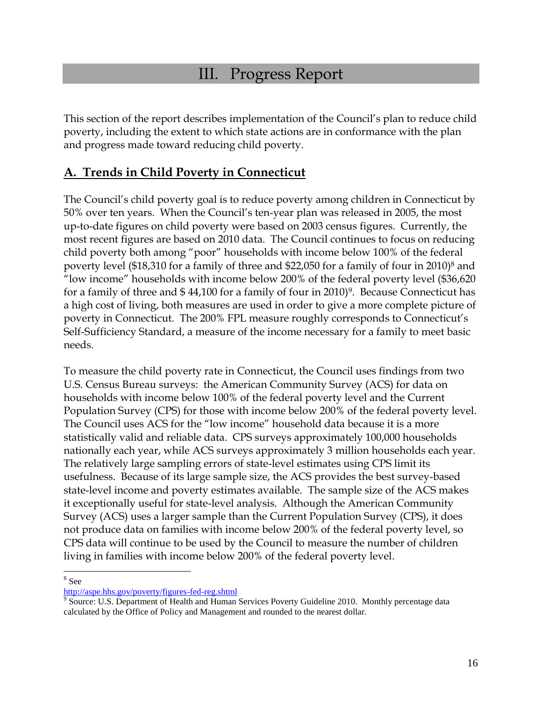## III. Progress Report

This section of the report describes implementation of the Council's plan to reduce child poverty, including the extent to which state actions are in conformance with the plan and progress made toward reducing child poverty.

### **A. Trends in Child Poverty in Connecticut**

The Council's child poverty goal is to reduce poverty among children in Connecticut by 50% over ten years. When the Council's ten-year plan was released in 2005, the most up-to-date figures on child poverty were based on 2003 census figures. Currently, the most recent figures are based on 2010 data. The Council continues to focus on reducing child poverty both among "poor" households with income below 100% of the federal poverty level (\$18,310 for a family of three and \$22,050 for a family of four in 2010)<sup>8</sup> and "low income" households with income below 200% of the federal poverty level (\$36,620 for a family of three and \$44,100 for a family of four in 2010)<sup>9</sup>. Because Connecticut has a high cost of living, both measures are used in order to give a more complete picture of poverty in Connecticut. The 200% FPL measure roughly corresponds to Connecticut's Self-Sufficiency Standard, a measure of the income necessary for a family to meet basic needs.

To measure the child poverty rate in Connecticut, the Council uses findings from two U.S. Census Bureau surveys: the American Community Survey (ACS) for data on households with income below 100% of the federal poverty level and the Current Population Survey (CPS) for those with income below 200% of the federal poverty level. The Council uses ACS for the "low income" household data because it is a more statistically valid and reliable data. CPS surveys approximately 100,000 households nationally each year, while ACS surveys approximately 3 million households each year. The relatively large sampling errors of state-level estimates using CPS limit its usefulness. Because of its large sample size, the ACS provides the best survey-based state-level income and poverty estimates available. The sample size of the ACS makes it exceptionally useful for state-level analysis. Although the American Community Survey (ACS) uses a larger sample than the Current Population Survey (CPS), it does not produce data on families with income below 200% of the federal poverty level, so CPS data will continue to be used by the Council to measure the number of children living in families with income below 200% of the federal poverty level.

 $\overline{a}$ 8 See

<http://aspe.hhs.gov/poverty/figures-fed-reg.shtml>

<sup>&</sup>lt;sup>9</sup> Source: U.S. Department of Health and Human Services Poverty Guideline 2010. Monthly percentage data calculated by the Office of Policy and Management and rounded to the nearest dollar.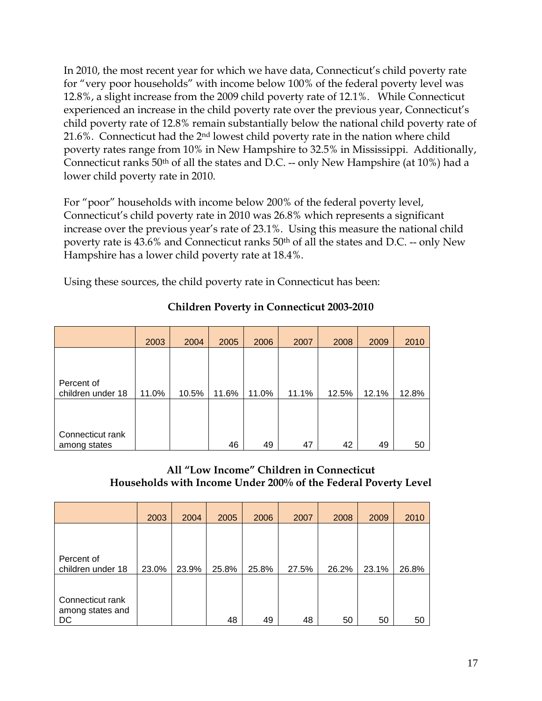In 2010, the most recent year for which we have data, Connecticut's child poverty rate for "very poor households" with income below 100% of the federal poverty level was 12.8%, a slight increase from the 2009 child poverty rate of 12.1%. While Connecticut experienced an increase in the child poverty rate over the previous year, Connecticut's child poverty rate of 12.8% remain substantially below the national child poverty rate of 21.6%. Connecticut had the 2nd lowest child poverty rate in the nation where child poverty rates range from 10% in New Hampshire to 32.5% in Mississippi. Additionally, Connecticut ranks 50th of all the states and D.C. -- only New Hampshire (at 10%) had a lower child poverty rate in 2010.

For "poor" households with income below 200% of the federal poverty level, Connecticut's child poverty rate in 2010 was 26.8% which represents a significant increase over the previous year's rate of 23.1%. Using this measure the national child poverty rate is 43.6% and Connecticut ranks 50th of all the states and D.C. -- only New Hampshire has a lower child poverty rate at 18.4%.

Using these sources, the child poverty rate in Connecticut has been:

|                                  | 2003  | 2004  | 2005  | 2006  | 2007  | 2008  | 2009  | 2010  |
|----------------------------------|-------|-------|-------|-------|-------|-------|-------|-------|
|                                  |       |       |       |       |       |       |       |       |
| Percent of                       |       |       |       |       |       |       |       |       |
| children under 18                | 11.0% | 10.5% | 11.6% | 11.0% | 11.1% | 12.5% | 12.1% | 12.8% |
|                                  |       |       |       |       |       |       |       |       |
|                                  |       |       |       |       |       |       |       |       |
| Connecticut rank<br>among states |       |       | 46    | 49    | 47    | 42    | 49    | 50    |

#### **Children Poverty in Connecticut 2003-2010**

#### **All "Low Income" Children in Connecticut Households with Income Under 200% of the Federal Poverty Level**

|                                 | 2003  | 2004  | 2005  | 2006  | 2007  | 2008  | 2009  | 2010  |
|---------------------------------|-------|-------|-------|-------|-------|-------|-------|-------|
|                                 |       |       |       |       |       |       |       |       |
|                                 |       |       |       |       |       |       |       |       |
| Percent of<br>children under 18 | 23.0% | 23.9% | 25.8% | 25.8% | 27.5% | 26.2% | 23.1% | 26.8% |
|                                 |       |       |       |       |       |       |       |       |
| Connecticut rank                |       |       |       |       |       |       |       |       |
| among states and<br>DC          |       |       | 48    | 49    | 48    | 50    | 50    | 50    |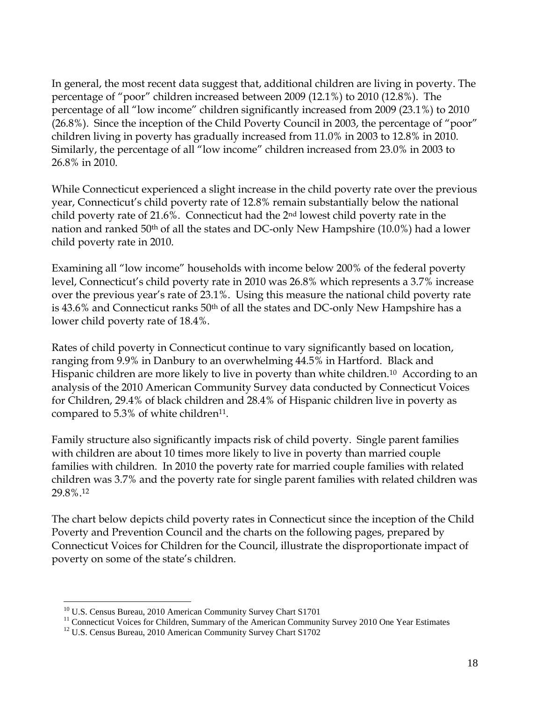In general, the most recent data suggest that, additional children are living in poverty. The percentage of "poor" children increased between 2009 (12.1%) to 2010 (12.8%). The percentage of all "low income" children significantly increased from 2009 (23.1%) to 2010 (26.8%). Since the inception of the Child Poverty Council in 2003, the percentage of "poor" children living in poverty has gradually increased from 11.0% in 2003 to 12.8% in 2010. Similarly, the percentage of all "low income" children increased from 23.0% in 2003 to 26.8% in 2010.

While Connecticut experienced a slight increase in the child poverty rate over the previous year, Connecticut's child poverty rate of 12.8% remain substantially below the national child poverty rate of 21.6%. Connecticut had the 2nd lowest child poverty rate in the nation and ranked 50th of all the states and DC-only New Hampshire (10.0%) had a lower child poverty rate in 2010.

Examining all "low income" households with income below 200% of the federal poverty level, Connecticut's child poverty rate in 2010 was 26.8% which represents a 3.7% increase over the previous year's rate of 23.1%. Using this measure the national child poverty rate is 43.6% and Connecticut ranks 50th of all the states and DC-only New Hampshire has a lower child poverty rate of 18.4%.

Rates of child poverty in Connecticut continue to vary significantly based on location, ranging from 9.9% in Danbury to an overwhelming 44.5% in Hartford. Black and Hispanic children are more likely to live in poverty than white children.<sup>10</sup> According to an analysis of the 2010 American Community Survey data conducted by Connecticut Voices for Children, 29.4% of black children and 28.4% of Hispanic children live in poverty as compared to  $5.3\%$  of white children<sup>11</sup>.

Family structure also significantly impacts risk of child poverty. Single parent families with children are about 10 times more likely to live in poverty than married couple families with children. In 2010 the poverty rate for married couple families with related children was 3.7% and the poverty rate for single parent families with related children was 29.8%.<sup>12</sup>

The chart below depicts child poverty rates in Connecticut since the inception of the Child Poverty and Prevention Council and the charts on the following pages, prepared by Connecticut Voices for Children for the Council, illustrate the disproportionate impact of poverty on some of the state's children.

 $\overline{a}$ 

<sup>&</sup>lt;sup>10</sup> U.S. Census Bureau, 2010 American Community Survey Chart S1701

<sup>&</sup>lt;sup>11</sup> Connecticut Voices for Children, Summary of the American Community Survey 2010 One Year Estimates

 $12$  U.S. Census Bureau, 2010 American Community Survey Chart S1702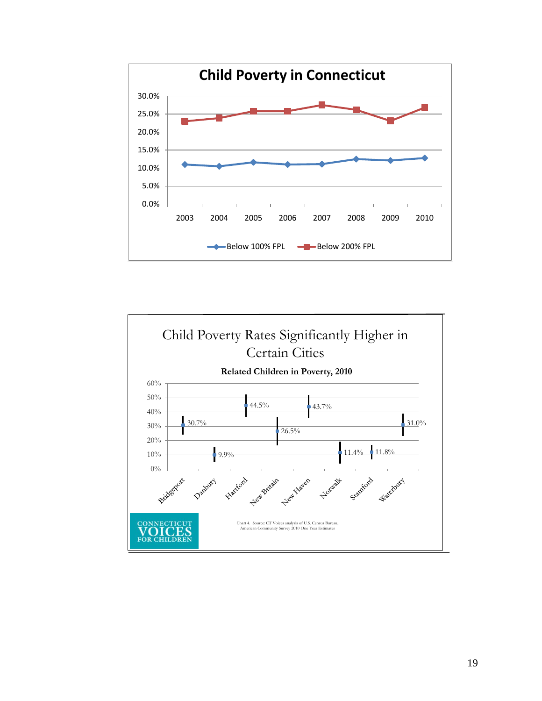

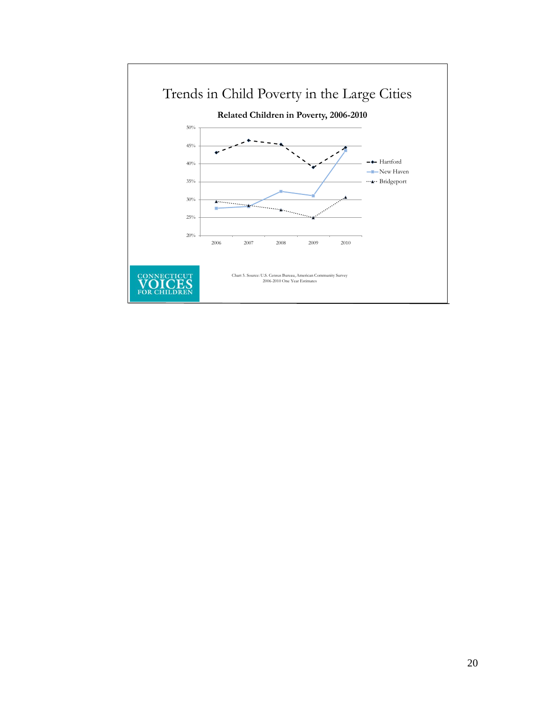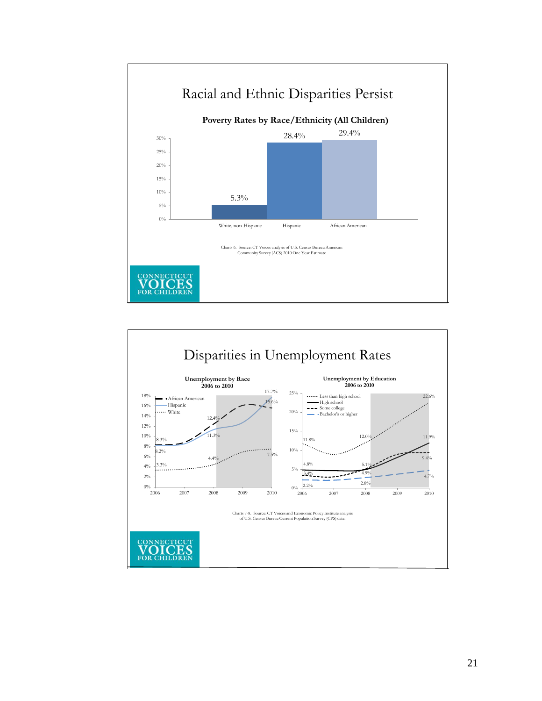

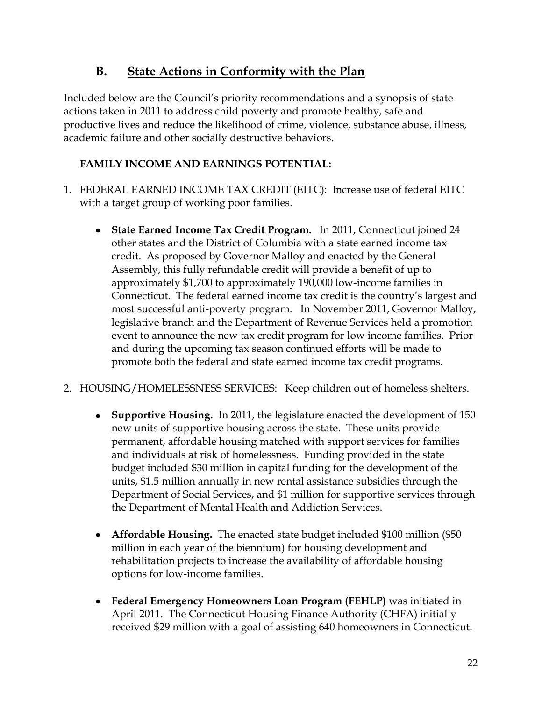### **B. State Actions in Conformity with the Plan**

Included below are the Council's priority recommendations and a synopsis of state actions taken in 2011 to address child poverty and promote healthy, safe and productive lives and reduce the likelihood of crime, violence, substance abuse, illness, academic failure and other socially destructive behaviors.

#### **FAMILY INCOME AND EARNINGS POTENTIAL:**

- 1. FEDERAL EARNED INCOME TAX CREDIT (EITC): Increase use of federal EITC with a target group of working poor families.
	- **State Earned Income Tax Credit Program.** In 2011, Connecticut joined 24 other states and the District of Columbia with a state earned income tax credit. As proposed by Governor Malloy and enacted by the General Assembly, this fully refundable credit will provide a benefit of up to approximately \$1,700 to approximately 190,000 low-income families in Connecticut. The federal earned income tax credit is the country's largest and most successful anti-poverty program. In November 2011, Governor Malloy, legislative branch and the Department of Revenue Services held a promotion event to announce the new tax credit program for low income families. Prior and during the upcoming tax season continued efforts will be made to promote both the federal and state earned income tax credit programs.
- 2. HOUSING/HOMELESSNESS SERVICES: Keep children out of homeless shelters.
	- **Supportive Housing.** In 2011, the legislature enacted the development of 150 new units of supportive housing across the state. These units provide permanent, affordable housing matched with support services for families and individuals at risk of homelessness. Funding provided in the state budget included \$30 million in capital funding for the development of the units, \$1.5 million annually in new rental assistance subsidies through the Department of Social Services, and \$1 million for supportive services through the Department of Mental Health and Addiction Services.
	- **Affordable Housing.** The enacted state budget included \$100 million (\$50 million in each year of the biennium) for housing development and rehabilitation projects to increase the availability of affordable housing options for low-income families.
	- **Federal Emergency Homeowners Loan Program (FEHLP)** was initiated in April 2011. The Connecticut Housing Finance Authority (CHFA) initially received \$29 million with a goal of assisting 640 homeowners in Connecticut.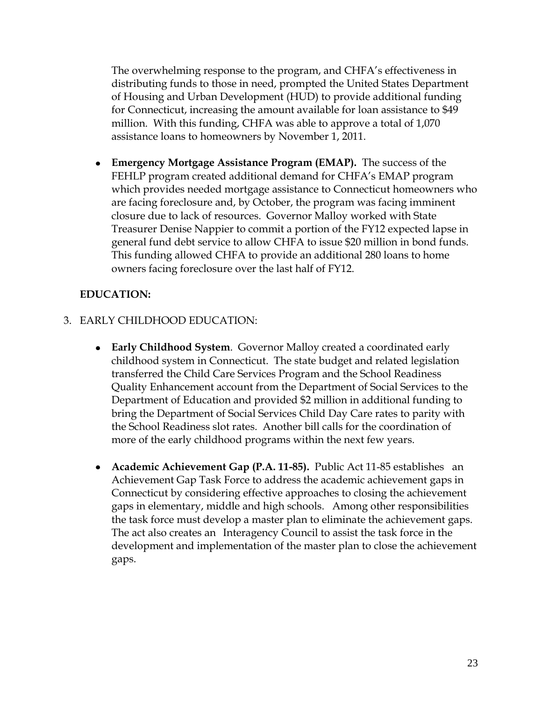The overwhelming response to the program, and CHFA's effectiveness in distributing funds to those in need, prompted the United States Department of Housing and Urban Development (HUD) to provide additional funding for Connecticut, increasing the amount available for loan assistance to \$49 million. With this funding, CHFA was able to approve a total of 1,070 assistance loans to homeowners by November 1, 2011.

**Emergency Mortgage Assistance Program (EMAP).** The success of the FEHLP program created additional demand for CHFA's EMAP program which provides needed mortgage assistance to Connecticut homeowners who are facing foreclosure and, by October, the program was facing imminent closure due to lack of resources. Governor Malloy worked with State Treasurer Denise Nappier to commit a portion of the FY12 expected lapse in general fund debt service to allow CHFA to issue \$20 million in bond funds. This funding allowed CHFA to provide an additional 280 loans to home owners facing foreclosure over the last half of FY12.

#### **EDUCATION:**

- 3. EARLY CHILDHOOD EDUCATION:
	- **Early Childhood System**. Governor Malloy created a coordinated early childhood system in Connecticut. The state budget and related legislation transferred the Child Care Services Program and the School Readiness Quality Enhancement account from the Department of Social Services to the Department of Education and provided \$2 million in additional funding to bring the Department of Social Services Child Day Care rates to parity with the School Readiness slot rates. Another bill calls for the coordination of more of the early childhood programs within the next few years.
	- **Academic Achievement Gap (P.A. 11-85).** Public Act 11-85 establishesan Achievement Gap Task Force to address the academic achievement gaps in Connecticut by considering effective approaches to closing the achievement gaps in elementary, middle and high schools. Among other responsibilities the task force must develop a master plan to eliminate the achievement gaps. The act also creates an Interagency Council to assist the task force in the development and implementation of the master plan to close the achievement gaps.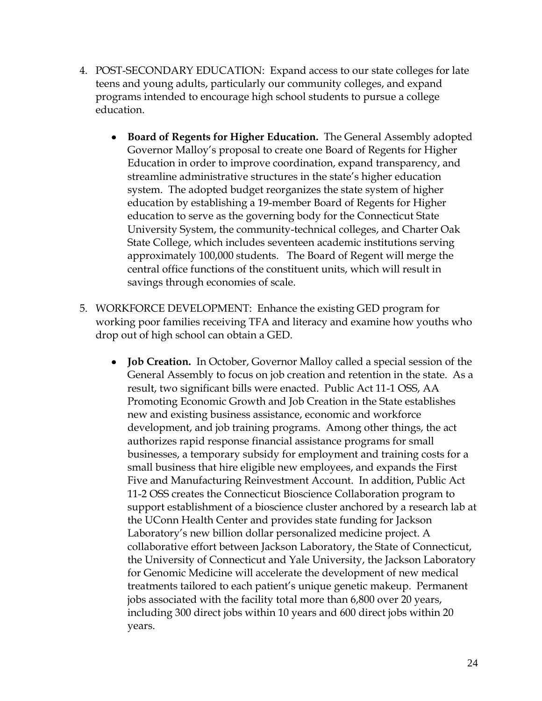- 4. POST-SECONDARY EDUCATION: Expand access to our state colleges for late teens and young adults, particularly our community colleges, and expand programs intended to encourage high school students to pursue a college education.
	- **Board of Regents for Higher Education.** The General Assembly adopted Governor Malloy's proposal to create one Board of Regents for Higher Education in order to improve coordination, expand transparency, and streamline administrative structures in the state's higher education system. The adopted budget reorganizes the state system of higher education by establishing a 19-member Board of Regents for Higher education to serve as the governing body for the Connecticut State University System, the community-technical colleges, and Charter Oak State College, which includes seventeen academic institutions serving approximately 100,000 students. The Board of Regent will merge the central office functions of the constituent units, which will result in savings through economies of scale.
- 5. WORKFORCE DEVELOPMENT: Enhance the existing GED program for working poor families receiving TFA and literacy and examine how youths who drop out of high school can obtain a GED.
	- $\bullet$ **Job Creation.** In October, Governor Malloy called a special session of the General Assembly to focus on job creation and retention in the state. As a result, two significant bills were enacted. Public Act 11-1 OSS, AA Promoting Economic Growth and Job Creation in the State establishes new and existing business assistance, economic and workforce development, and job training programs. Among other things, the act authorizes rapid response financial assistance programs for small businesses, a temporary subsidy for employment and training costs for a small business that hire eligible new employees, and expands the First Five and Manufacturing Reinvestment Account. In addition, Public Act 11-2 OSS creates the Connecticut Bioscience Collaboration program to support establishment of a bioscience cluster anchored by a research lab at the UConn Health Center and provides state funding for Jackson Laboratory's new billion dollar personalized medicine project. A collaborative effort between Jackson Laboratory, the State of Connecticut, the University of Connecticut and Yale University, the Jackson Laboratory for Genomic Medicine will accelerate the development of new medical treatments tailored to each patient's unique genetic makeup. Permanent jobs associated with the facility total more than 6,800 over 20 years, including 300 direct jobs within 10 years and 600 direct jobs within 20 years.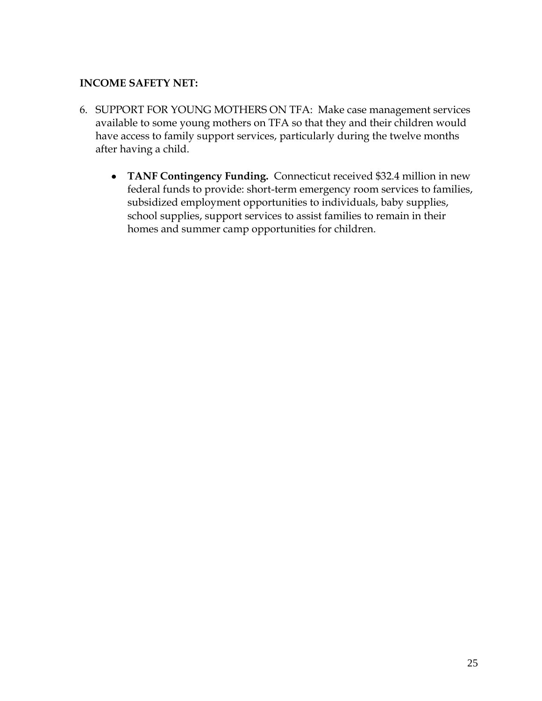#### **INCOME SAFETY NET:**

- 6. SUPPORT FOR YOUNG MOTHERS ON TFA: Make case management services available to some young mothers on TFA so that they and their children would have access to family support services, particularly during the twelve months after having a child.
	- **TANF Contingency Funding.** Connecticut received \$32.4 million in new federal funds to provide: short-term emergency room services to families, subsidized employment opportunities to individuals, baby supplies, school supplies, support services to assist families to remain in their homes and summer camp opportunities for children.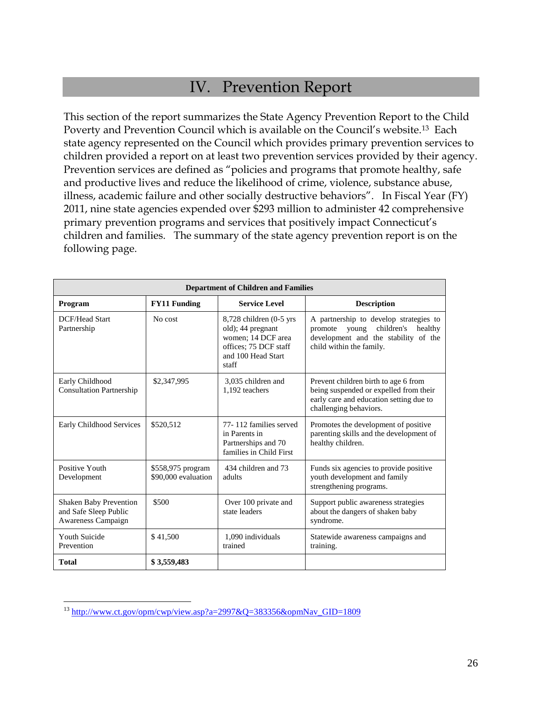## IV. Prevention Report

This section of the report summarizes the State Agency Prevention Report to the Child Poverty and Prevention Council which is available on the Council's website.13 Each state agency represented on the Council which provides primary prevention services to children provided a report on at least two prevention services provided by their agency. Prevention services are defined as "policies and programs that promote healthy, safe and productive lives and reduce the likelihood of crime, violence, substance abuse, illness, academic failure and other socially destructive behaviors". In Fiscal Year (FY) 2011, nine state agencies expended over \$293 million to administer 42 comprehensive primary prevention programs and services that positively impact Connecticut's children and families. The summary of the state agency prevention report is on the following page.

|                                                                              | <b>Department of Children and Families</b> |                                                                                                                                |                                                                                                                                                         |  |  |  |  |  |
|------------------------------------------------------------------------------|--------------------------------------------|--------------------------------------------------------------------------------------------------------------------------------|---------------------------------------------------------------------------------------------------------------------------------------------------------|--|--|--|--|--|
| Program                                                                      | <b>FY11 Funding</b>                        |                                                                                                                                | <b>Description</b>                                                                                                                                      |  |  |  |  |  |
| DCF/Head Start<br>Partnership                                                | No cost                                    | $8,728$ children $(0-5$ yrs<br>old); 44 pregnant<br>women; 14 DCF area<br>offices: 75 DCF staff<br>and 100 Head Start<br>staff | A partnership to develop strategies to<br>children's<br>healthy<br>promote<br>young<br>development and the stability of the<br>child within the family. |  |  |  |  |  |
| Early Childhood<br><b>Consultation Partnership</b>                           | \$2,347,995                                | 3,035 children and<br>1.192 teachers                                                                                           | Prevent children birth to age 6 from<br>being suspended or expelled from their<br>early care and education setting due to<br>challenging behaviors.     |  |  |  |  |  |
| Early Childhood Services                                                     | \$520.512                                  | 77-112 families served<br>in Parents in<br>Partnerships and 70<br>families in Child First                                      | Promotes the development of positive<br>parenting skills and the development of<br>healthy children.                                                    |  |  |  |  |  |
| Positive Youth<br>Development                                                | \$558,975 program<br>\$90,000 evaluation   | 434 children and 73<br>adults                                                                                                  | Funds six agencies to provide positive<br>youth development and family<br>strengthening programs.                                                       |  |  |  |  |  |
| <b>Shaken Baby Prevention</b><br>and Safe Sleep Public<br>Awareness Campaign | \$500                                      | Over 100 private and<br>state leaders                                                                                          | Support public awareness strategies<br>about the dangers of shaken baby<br>syndrome.                                                                    |  |  |  |  |  |
| <b>Youth Suicide</b><br>Prevention                                           | \$41,500                                   | 1.090 individuals<br>trained                                                                                                   | Statewide awareness campaigns and<br>training.                                                                                                          |  |  |  |  |  |
| <b>Total</b>                                                                 | \$3,559,483                                |                                                                                                                                |                                                                                                                                                         |  |  |  |  |  |
|                                                                              |                                            |                                                                                                                                |                                                                                                                                                         |  |  |  |  |  |

<sup>13</sup> [http://www.ct.gov/opm/cwp/view.asp?a=2997&Q=383356&opmNav\\_GID=1809](http://www.ct.gov/opm/cwp/view.asp?a=2997&Q=383356&opmNav_GID=1809)

 $\overline{a}$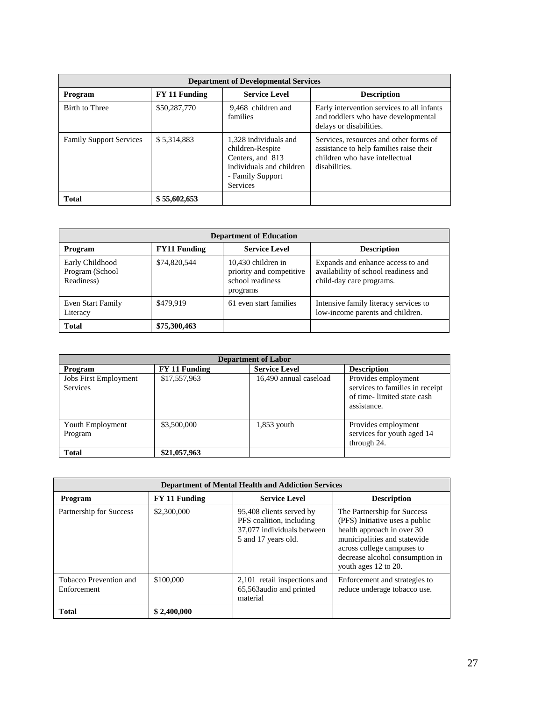| <b>Department of Developmental Services</b> |               |                                                                                                                                  |                                                                                                                                      |  |  |  |
|---------------------------------------------|---------------|----------------------------------------------------------------------------------------------------------------------------------|--------------------------------------------------------------------------------------------------------------------------------------|--|--|--|
| Program                                     | FY 11 Funding | <b>Service Level</b>                                                                                                             | <b>Description</b>                                                                                                                   |  |  |  |
| Birth to Three                              | \$50,287,770  | 9.468 children and<br>families                                                                                                   | Early intervention services to all infants<br>and toddlers who have developmental<br>delays or disabilities.                         |  |  |  |
| <b>Family Support Services</b>              | \$5,314,883   | 1,328 individuals and<br>children-Respite<br>Centers, and 813<br>individuals and children<br>- Family Support<br><b>Services</b> | Services, resources and other forms of<br>assistance to help families raise their<br>children who have intellectual<br>disabilities. |  |  |  |
| <b>Total</b>                                | \$55,602,653  |                                                                                                                                  |                                                                                                                                      |  |  |  |

| <b>Department of Education</b>                   |                     |                                                                                |                                                                                                       |  |  |  |
|--------------------------------------------------|---------------------|--------------------------------------------------------------------------------|-------------------------------------------------------------------------------------------------------|--|--|--|
| Program                                          | <b>FY11 Funding</b> | <b>Service Level</b>                                                           | <b>Description</b>                                                                                    |  |  |  |
| Early Childhood<br>Program (School<br>Readiness) | \$74,820,544        | 10,430 children in<br>priority and competitive<br>school readiness<br>programs | Expands and enhance access to and<br>availability of school readiness and<br>child-day care programs. |  |  |  |
| Even Start Family<br>Literacy                    | \$479.919           | 61 even start families                                                         | Intensive family literacy services to<br>low-income parents and children.                             |  |  |  |
| <b>Total</b>                                     | \$75,300,463        |                                                                                |                                                                                                       |  |  |  |

| <b>Department of Labor</b>                      |               |                        |                                                                                                     |  |  |  |
|-------------------------------------------------|---------------|------------------------|-----------------------------------------------------------------------------------------------------|--|--|--|
| Program                                         | FY 11 Funding | <b>Service Level</b>   | <b>Description</b>                                                                                  |  |  |  |
| <b>Jobs First Employment</b><br><b>Services</b> | \$17,557,963  | 16,490 annual caseload | Provides employment<br>services to families in receipt<br>of time-limited state cash<br>assistance. |  |  |  |
| Youth Employment<br>Program                     | \$3,500,000   | $1,853$ youth          | Provides employment<br>services for youth aged 14<br>through 24.                                    |  |  |  |
| <b>Total</b>                                    | \$21,057,963  |                        |                                                                                                     |  |  |  |

| <b>Department of Mental Health and Addiction Services</b> |                      |                                                                                                           |                                                                                                                                                                                                                      |  |  |  |  |
|-----------------------------------------------------------|----------------------|-----------------------------------------------------------------------------------------------------------|----------------------------------------------------------------------------------------------------------------------------------------------------------------------------------------------------------------------|--|--|--|--|
| Program                                                   | <b>FY 11 Funding</b> | <b>Service Level</b>                                                                                      | <b>Description</b>                                                                                                                                                                                                   |  |  |  |  |
| Partnership for Success                                   | \$2,300,000          | 95,408 clients served by<br>PFS coalition, including<br>37,077 individuals between<br>5 and 17 years old. | The Partnership for Success<br>(PFS) Initiative uses a public<br>health approach in over 30<br>municipalities and statewide<br>across college campuses to<br>decrease alcohol consumption in<br>youth ages 12 to 20. |  |  |  |  |
| Tobacco Prevention and<br>Enforcement                     | \$100,000            | 2,101 retail inspections and<br>65,563 audio and printed<br>material                                      | Enforcement and strategies to<br>reduce underage tobacco use.                                                                                                                                                        |  |  |  |  |
| <b>Total</b>                                              | \$2,400,000          |                                                                                                           |                                                                                                                                                                                                                      |  |  |  |  |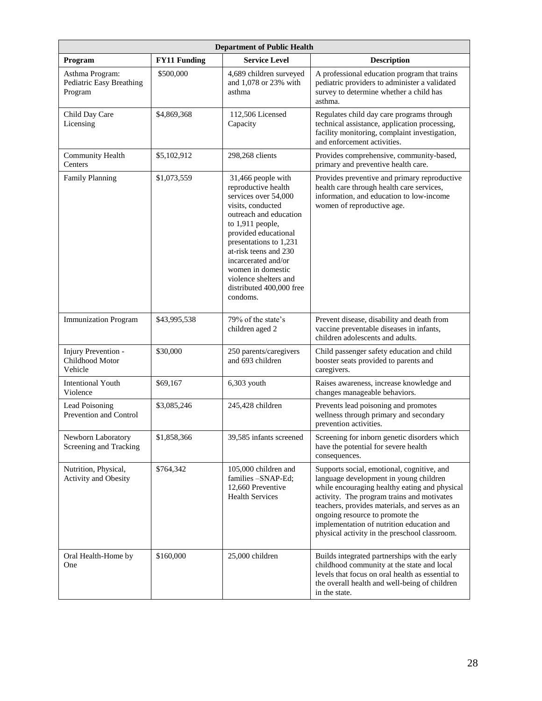| <b>Department of Public Health</b>                     |                     |                                                                                                                                                                                                                                                                                                                              |                                                                                                                                                                                                                                                                                                                                                                        |  |  |
|--------------------------------------------------------|---------------------|------------------------------------------------------------------------------------------------------------------------------------------------------------------------------------------------------------------------------------------------------------------------------------------------------------------------------|------------------------------------------------------------------------------------------------------------------------------------------------------------------------------------------------------------------------------------------------------------------------------------------------------------------------------------------------------------------------|--|--|
| Program                                                | <b>FY11 Funding</b> | <b>Service Level</b>                                                                                                                                                                                                                                                                                                         | <b>Description</b>                                                                                                                                                                                                                                                                                                                                                     |  |  |
| Asthma Program:<br>Pediatric Easy Breathing<br>Program | \$500,000           | 4,689 children surveyed<br>and 1,078 or 23% with<br>asthma                                                                                                                                                                                                                                                                   | A professional education program that trains<br>pediatric providers to administer a validated<br>survey to determine whether a child has<br>asthma.                                                                                                                                                                                                                    |  |  |
| Child Day Care<br>Licensing                            | \$4,869,368         | 112,506 Licensed<br>Capacity                                                                                                                                                                                                                                                                                                 | Regulates child day care programs through<br>technical assistance, application processing,<br>facility monitoring, complaint investigation,<br>and enforcement activities.                                                                                                                                                                                             |  |  |
| Community Health<br>Centers                            | \$5,102,912         | 298,268 clients                                                                                                                                                                                                                                                                                                              | Provides comprehensive, community-based,<br>primary and preventive health care.                                                                                                                                                                                                                                                                                        |  |  |
| <b>Family Planning</b>                                 | \$1,073,559         | 31,466 people with<br>reproductive health<br>services over 54,000<br>visits, conducted<br>outreach and education<br>to 1,911 people,<br>provided educational<br>presentations to 1,231<br>at-risk teens and 230<br>incarcerated and/or<br>women in domestic<br>violence shelters and<br>distributed 400,000 free<br>condoms. | Provides preventive and primary reproductive<br>health care through health care services,<br>information, and education to low-income<br>women of reproductive age.                                                                                                                                                                                                    |  |  |
| <b>Immunization Program</b>                            | \$43,995,538        | 79% of the state's<br>children aged 2                                                                                                                                                                                                                                                                                        | Prevent disease, disability and death from<br>vaccine preventable diseases in infants,<br>children adolescents and adults.                                                                                                                                                                                                                                             |  |  |
| Injury Prevention -<br>Childhood Motor<br>Vehicle      | \$30,000            | 250 parents/caregivers<br>and 693 children                                                                                                                                                                                                                                                                                   | Child passenger safety education and child<br>booster seats provided to parents and<br>caregivers.                                                                                                                                                                                                                                                                     |  |  |
| <b>Intentional Youth</b><br>Violence                   | \$69,167            | $6,303$ youth                                                                                                                                                                                                                                                                                                                | Raises awareness, increase knowledge and<br>changes manageable behaviors.                                                                                                                                                                                                                                                                                              |  |  |
| Lead Poisoning<br>Prevention and Control               | \$3,085,246         | 245,428 children                                                                                                                                                                                                                                                                                                             | Prevents lead poisoning and promotes<br>wellness through primary and secondary<br>prevention activities.                                                                                                                                                                                                                                                               |  |  |
| Newborn Laboratory<br>Screening and Tracking           | \$1,858,366         | 39,585 infants screened                                                                                                                                                                                                                                                                                                      | Screening for inborn genetic disorders which<br>have the potential for severe health<br>consequences.                                                                                                                                                                                                                                                                  |  |  |
| Nutrition, Physical,<br><b>Activity and Obesity</b>    | \$764,342           | 105,000 children and<br>families -SNAP-Ed;<br>12,660 Preventive<br><b>Health Services</b>                                                                                                                                                                                                                                    | Supports social, emotional, cognitive, and<br>language development in young children<br>while encouraging healthy eating and physical<br>activity. The program trains and motivates<br>teachers, provides materials, and serves as an<br>ongoing resource to promote the<br>implementation of nutrition education and<br>physical activity in the preschool classroom. |  |  |
| Oral Health-Home by<br>One                             | \$160,000           | 25,000 children                                                                                                                                                                                                                                                                                                              | Builds integrated partnerships with the early<br>childhood community at the state and local<br>levels that focus on oral health as essential to<br>the overall health and well-being of children<br>in the state.                                                                                                                                                      |  |  |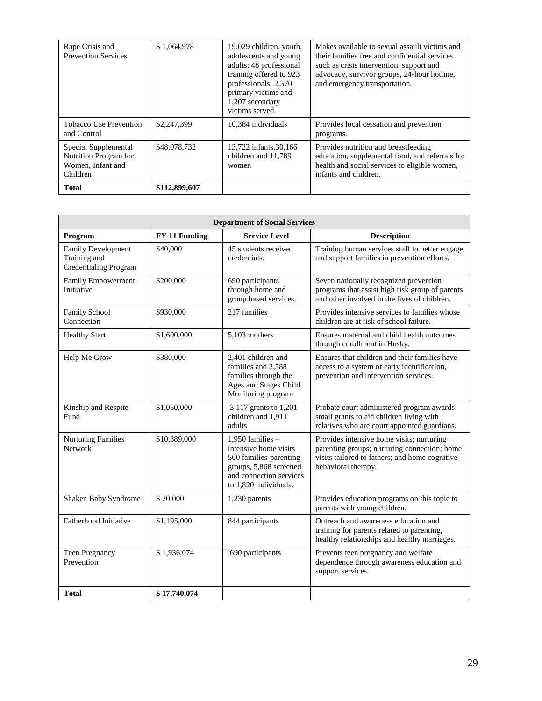| Rape Crisis and<br><b>Prevention Services</b>                                  | \$1,064,978   | 19,029 children, youth,<br>adolescents and young<br>adults; 48 professional<br>training offered to 923<br>professionals; 2,570<br>primary victims and<br>1,207 secondary<br>victims served. | Makes available to sexual assault victims and<br>their families free and confidential services<br>such as crisis intervention, support and<br>advocacy, survivor groups, 24-hour hotline,<br>and emergency transportation. |
|--------------------------------------------------------------------------------|---------------|---------------------------------------------------------------------------------------------------------------------------------------------------------------------------------------------|----------------------------------------------------------------------------------------------------------------------------------------------------------------------------------------------------------------------------|
| <b>Tobacco Use Prevention</b><br>and Control                                   | \$2,247,399   | 10.384 individuals                                                                                                                                                                          | Provides local cessation and prevention<br>programs.                                                                                                                                                                       |
| Special Supplemental<br>Nutrition Program for<br>Women, Infant and<br>Children | \$48,078,732  | 13,722 infants, 30, 166<br>children and 11,789<br>women                                                                                                                                     | Provides nutrition and breastfeeding<br>education, supplemental food, and referrals for<br>health and social services to eligible women,<br>infants and children.                                                          |
| <b>Total</b>                                                                   | \$112,899,607 |                                                                                                                                                                                             |                                                                                                                                                                                                                            |

| <b>Department of Social Services</b>                                      |               |                                                                                                                                                     |                                                                                                                                                                    |  |  |
|---------------------------------------------------------------------------|---------------|-----------------------------------------------------------------------------------------------------------------------------------------------------|--------------------------------------------------------------------------------------------------------------------------------------------------------------------|--|--|
| Program                                                                   | FY 11 Funding | <b>Service Level</b>                                                                                                                                | <b>Description</b>                                                                                                                                                 |  |  |
| <b>Family Development</b><br>Training and<br><b>Credentialing Program</b> | \$40,000      | 45 students received<br>credentials.                                                                                                                | Training human services staff to better engage<br>and support families in prevention efforts.                                                                      |  |  |
| Family Empowerment<br>Initiative                                          | \$200,000     | 690 participants<br>through home and<br>group based services.                                                                                       | Seven nationally recognized prevention<br>programs that assist high risk group of parents<br>and other involved in the lives of children.                          |  |  |
| Family School<br>Connection                                               | \$930,000     | 217 families                                                                                                                                        | Provides intensive services to families whose<br>children are at risk of school failure.                                                                           |  |  |
| <b>Healthy Start</b>                                                      | \$1,600,000   | 5,103 mothers                                                                                                                                       | Ensures maternal and child health outcomes<br>through enrollment in Husky.                                                                                         |  |  |
| Help Me Grow                                                              | \$380,000     | 2,401 children and<br>families and 2,588<br>families through the<br>Ages and Stages Child<br>Monitoring program                                     | Ensures that children and their families have<br>access to a system of early identification,<br>prevention and intervention services.                              |  |  |
| Kinship and Respite<br>Fund                                               | \$1,050,000   | 3,117 grants to 1,201<br>children and 1,911<br>adults                                                                                               | Probate court administered program awards<br>small grants to aid children living with<br>relatives who are court appointed guardians.                              |  |  |
| <b>Nurturing Families</b><br><b>Network</b>                               | \$10,389,000  | 1.950 families $-$<br>intensive home visits<br>500 families-parenting<br>groups, 5,868 screened<br>and connection services<br>to 1.820 individuals. | Provides intensive home visits; nurturing<br>parenting groups; nurturing connection; home<br>visits tailored to fathers; and home cognitive<br>behavioral therapy. |  |  |
| Shaken Baby Syndrome                                                      | \$20,000      | 1,230 parents                                                                                                                                       | Provides education programs on this topic to<br>parents with young children.                                                                                       |  |  |
| Fatherhood Initiative                                                     | \$1,195,000   | 844 participants                                                                                                                                    | Outreach and awareness education and<br>training for parents related to parenting,<br>healthy relationships and healthy marriages.                                 |  |  |
| <b>Teen Pregnancy</b><br>Prevention                                       | \$1,936,074   | 690 participants                                                                                                                                    | Prevents teen pregnancy and welfare<br>dependence through awareness education and<br>support services.                                                             |  |  |
| <b>Total</b>                                                              | \$17,740,074  |                                                                                                                                                     |                                                                                                                                                                    |  |  |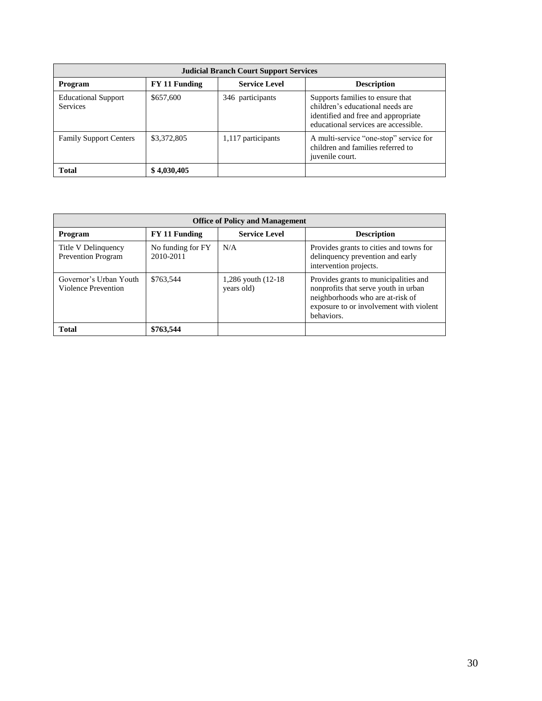| <b>Judicial Branch Court Support Services</b> |               |                      |                                                                                                                                                     |  |
|-----------------------------------------------|---------------|----------------------|-----------------------------------------------------------------------------------------------------------------------------------------------------|--|
| Program                                       | FY 11 Funding | <b>Service Level</b> | <b>Description</b>                                                                                                                                  |  |
| <b>Educational Support</b><br><b>Services</b> | \$657,600     | 346 participants     | Supports families to ensure that<br>children's educational needs are<br>identified and free and appropriate<br>educational services are accessible. |  |
| <b>Family Support Centers</b>                 | \$3,372,805   | 1,117 participants   | A multi-service "one-stop" service for<br>children and families referred to<br>juvenile court.                                                      |  |
| <b>Total</b>                                  | \$4,030,405   |                      |                                                                                                                                                     |  |

| <b>Office of Policy and Management</b>           |                                |                                     |                                                                                                                                                                            |  |
|--------------------------------------------------|--------------------------------|-------------------------------------|----------------------------------------------------------------------------------------------------------------------------------------------------------------------------|--|
| Program                                          | FY 11 Funding                  | <b>Service Level</b>                | <b>Description</b>                                                                                                                                                         |  |
| Title V Delinquency<br><b>Prevention Program</b> | No funding for FY<br>2010-2011 | N/A                                 | Provides grants to cities and towns for<br>delinquency prevention and early<br>intervention projects.                                                                      |  |
| Governor's Urban Youth<br>Violence Prevention    | \$763,544                      | 1,286 youth $(12-18)$<br>years old) | Provides grants to municipalities and<br>nonprofits that serve youth in urban<br>neighborhoods who are at-risk of<br>exposure to or involvement with violent<br>behaviors. |  |
| <b>Total</b>                                     | \$763,544                      |                                     |                                                                                                                                                                            |  |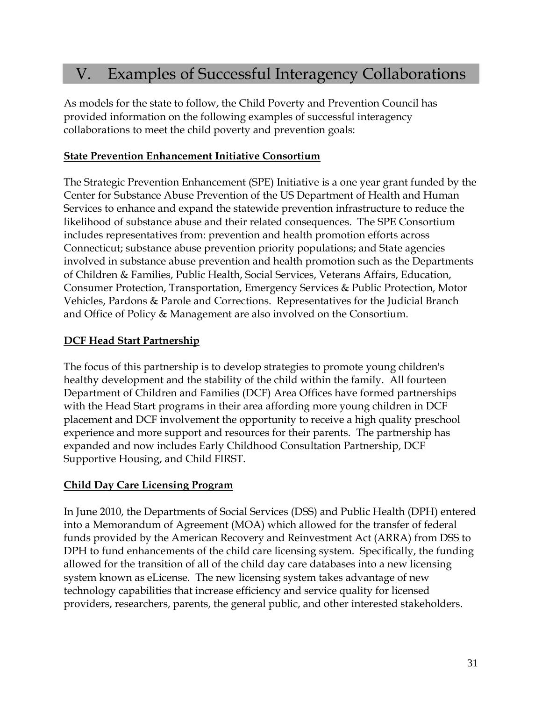## V. Examples of Successful Interagency Collaborations

As models for the state to follow, the Child Poverty and Prevention Council has provided information on the following examples of successful interagency collaborations to meet the child poverty and prevention goals:

#### **State Prevention Enhancement Initiative Consortium**

The Strategic Prevention Enhancement (SPE) Initiative is a one year grant funded by the Center for Substance Abuse Prevention of the US Department of Health and Human Services to enhance and expand the statewide prevention infrastructure to reduce the likelihood of substance abuse and their related consequences. The SPE Consortium includes representatives from: prevention and health promotion efforts across Connecticut; substance abuse prevention priority populations; and State agencies involved in substance abuse prevention and health promotion such as the Departments of Children & Families, Public Health, Social Services, Veterans Affairs, Education, Consumer Protection, Transportation, Emergency Services & Public Protection, Motor Vehicles, Pardons & Parole and Corrections. Representatives for the Judicial Branch and Office of Policy & Management are also involved on the Consortium.

#### **DCF Head Start Partnership**

The focus of this partnership is to develop strategies to promote young children's healthy development and the stability of the child within the family. All fourteen Department of Children and Families (DCF) Area Offices have formed partnerships with the Head Start programs in their area affording more young children in DCF placement and DCF involvement the opportunity to receive a high quality preschool experience and more support and resources for their parents. The partnership has expanded and now includes Early Childhood Consultation Partnership, DCF Supportive Housing, and Child FIRST.

#### **Child Day Care Licensing Program**

In June 2010, the Departments of Social Services (DSS) and Public Health (DPH) entered into a Memorandum of Agreement (MOA) which allowed for the transfer of federal funds provided by the American Recovery and Reinvestment Act (ARRA) from DSS to DPH to fund enhancements of the child care licensing system. Specifically, the funding allowed for the transition of all of the child day care databases into a new licensing system known as eLicense. The new licensing system takes advantage of new technology capabilities that increase efficiency and service quality for licensed providers, researchers, parents, the general public, and other interested stakeholders.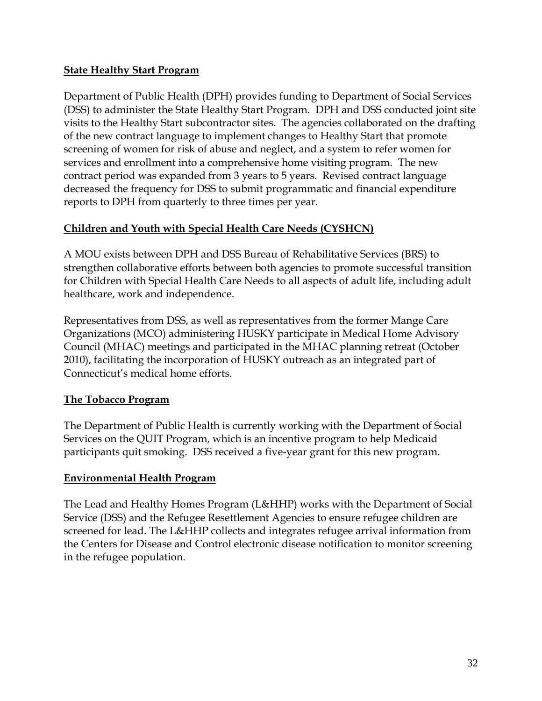#### **State Healthy Start Program**

Department of Public Health (DPH) provides funding to Department of Social Services (DSS) to administer the State Healthy Start Program. DPH and DSS conducted joint site visits to the Healthy Start subcontractor sites. The agencies collaborated on the drafting of the new contract language to implement changes to Healthy Start that promote screening of women for risk of abuse and neglect, and a system to refer women for services and enrollment into a comprehensive home visiting program. The new contract period was expanded from 3 years to 5 years. Revised contract language decreased the frequency for DSS to submit programmatic and financial expenditure reports to DPH from quarterly to three times per year.

#### **Children and Youth with Special Health Care Needs (CYSHCN)**

A MOU exists between DPH and DSS Bureau of Rehabilitative Services (BRS) to strengthen collaborative efforts between both agencies to promote successful transition for Children with Special Health Care Needs to all aspects of adult life, including adult healthcare, work and independence.

Representatives from DSS, as well as representatives from the former Mange Care Organizations (MCO) administering HUSKY participate in Medical Home Advisory Council (MHAC) meetings and participated in the MHAC planning retreat (October 2010), facilitating the incorporation of HUSKY outreach as an integrated part of Connecticut's medical home efforts.

#### **The Tobacco Program**

The Department of Public Health is currently working with the Department of Social Services on the QUIT Program, which is an incentive program to help Medicaid participants quit smoking. DSS received a five-year grant for this new program.

#### **Environmental Health Program**

The Lead and Healthy Homes Program (L&HHP) works with the Department of Social Service (DSS) and the Refugee Resettlement Agencies to ensure refugee children are screened for lead. The L&HHP collects and integrates refugee arrival information from the Centers for Disease and Control electronic disease notification to monitor screening in the refugee population.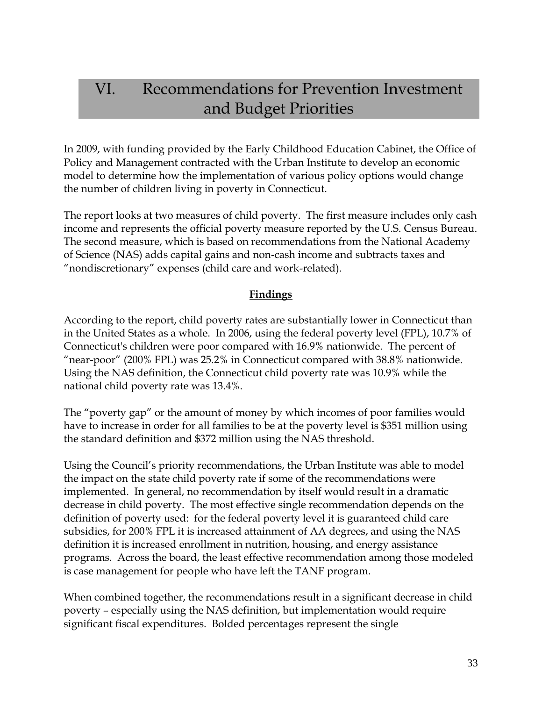## VI. Recommendations for Prevention Investment and Budget Priorities

In 2009, with funding provided by the Early Childhood Education Cabinet, the Office of Policy and Management contracted with the Urban Institute to develop an economic model to determine how the implementation of various policy options would change the number of children living in poverty in Connecticut.

The report looks at two measures of child poverty. The first measure includes only cash income and represents the official poverty measure reported by the U.S. Census Bureau. The second measure, which is based on recommendations from the National Academy of Science (NAS) adds capital gains and non-cash income and subtracts taxes and "nondiscretionary" expenses (child care and work-related).

#### **Findings**

According to the report, child poverty rates are substantially lower in Connecticut than in the United States as a whole. In 2006, using the federal poverty level (FPL), 10.7% of Connecticut's children were poor compared with 16.9% nationwide. The percent of "near-poor" (200% FPL) was 25.2% in Connecticut compared with 38.8% nationwide. Using the NAS definition, the Connecticut child poverty rate was 10.9% while the national child poverty rate was 13.4%.

The "poverty gap" or the amount of money by which incomes of poor families would have to increase in order for all families to be at the poverty level is \$351 million using the standard definition and \$372 million using the NAS threshold.

Using the Council's priority recommendations, the Urban Institute was able to model the impact on the state child poverty rate if some of the recommendations were implemented. In general, no recommendation by itself would result in a dramatic decrease in child poverty. The most effective single recommendation depends on the definition of poverty used: for the federal poverty level it is guaranteed child care subsidies, for 200% FPL it is increased attainment of AA degrees, and using the NAS definition it is increased enrollment in nutrition, housing, and energy assistance programs. Across the board, the least effective recommendation among those modeled is case management for people who have left the TANF program.

When combined together, the recommendations result in a significant decrease in child poverty – especially using the NAS definition, but implementation would require significant fiscal expenditures. Bolded percentages represent the single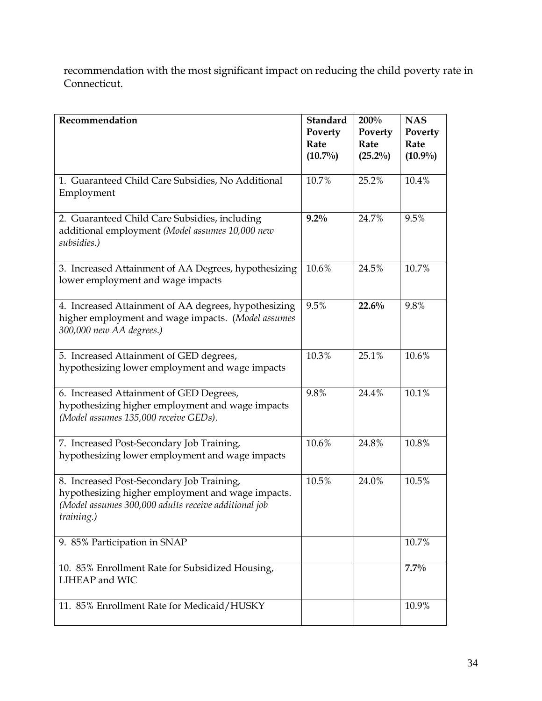recommendation with the most significant impact on reducing the child poverty rate in Connecticut.

| Recommendation                                                                                                                                                       | <b>Standard</b><br>Poverty<br>Rate<br>$(10.7\%)$ | 200%<br>Poverty<br>Rate<br>$(25.2\%)$ | <b>NAS</b><br>Poverty<br>Rate<br>$(10.9\%)$ |
|----------------------------------------------------------------------------------------------------------------------------------------------------------------------|--------------------------------------------------|---------------------------------------|---------------------------------------------|
| 1. Guaranteed Child Care Subsidies, No Additional<br>Employment                                                                                                      | 10.7%                                            | 25.2%                                 | 10.4%                                       |
| 2. Guaranteed Child Care Subsidies, including<br>additional employment (Model assumes 10,000 new<br>subsidies.)                                                      | $9.2\%$                                          | 24.7%                                 | 9.5%                                        |
| 3. Increased Attainment of AA Degrees, hypothesizing<br>lower employment and wage impacts                                                                            | 10.6%                                            | 24.5%                                 | 10.7%                                       |
| 4. Increased Attainment of AA degrees, hypothesizing<br>higher employment and wage impacts. (Model assumes<br>300,000 new AA degrees.)                               | 9.5%                                             | 22.6%                                 | 9.8%                                        |
| 5. Increased Attainment of GED degrees,<br>hypothesizing lower employment and wage impacts                                                                           | 10.3%                                            | 25.1%                                 | 10.6%                                       |
| 6. Increased Attainment of GED Degrees,<br>hypothesizing higher employment and wage impacts<br>(Model assumes 135,000 receive GEDs).                                 | 9.8%                                             | 24.4%                                 | 10.1%                                       |
| 7. Increased Post-Secondary Job Training,<br>hypothesizing lower employment and wage impacts                                                                         | 10.6%                                            | 24.8%                                 | 10.8%                                       |
| 8. Increased Post-Secondary Job Training,<br>hypothesizing higher employment and wage impacts.<br>(Model assumes 300,000 adults receive additional job<br>training.) | 10.5%                                            | 24.0%                                 | 10.5%                                       |
| 9. 85% Participation in SNAP                                                                                                                                         |                                                  |                                       | 10.7%                                       |
| 10. 85% Enrollment Rate for Subsidized Housing,<br>LIHEAP and WIC                                                                                                    |                                                  |                                       | $7.7\%$                                     |
| 11. 85% Enrollment Rate for Medicaid/HUSKY                                                                                                                           |                                                  |                                       | 10.9%                                       |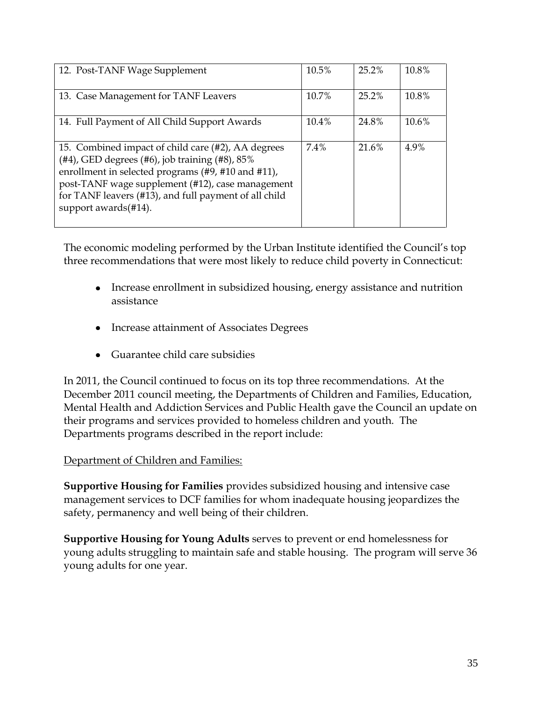| 12. Post-TANF Wage Supplement                                                                                                                                                                                                                                                                             | 10.5% | 25.2% | 10.8% |
|-----------------------------------------------------------------------------------------------------------------------------------------------------------------------------------------------------------------------------------------------------------------------------------------------------------|-------|-------|-------|
| 13. Case Management for TANF Leavers                                                                                                                                                                                                                                                                      | 10.7% | 25.2% | 10.8% |
| 14. Full Payment of All Child Support Awards                                                                                                                                                                                                                                                              | 10.4% | 24.8% | 10.6% |
| 15. Combined impact of child care (#2), AA degrees<br>$(#4)$ , GED degrees $(#6)$ , job training $(#8)$ , 85%<br>enrollment in selected programs (#9, #10 and #11),<br>post-TANF wage supplement (#12), case management<br>for TANF leavers (#13), and full payment of all child<br>support awards (#14). | 7.4%  | 21.6% | 4.9%  |

The economic modeling performed by the Urban Institute identified the Council's top three recommendations that were most likely to reduce child poverty in Connecticut:

- Increase enrollment in subsidized housing, energy assistance and nutrition assistance
- Increase attainment of Associates Degrees
- Guarantee child care subsidies

In 2011, the Council continued to focus on its top three recommendations. At the December 2011 council meeting, the Departments of Children and Families, Education, Mental Health and Addiction Services and Public Health gave the Council an update on their programs and services provided to homeless children and youth.The Departments programs described in the report include:

#### Department of Children and Families:

**Supportive Housing for Families** provides subsidized housing and intensive case management services to DCF families for whom inadequate housing jeopardizes the safety, permanency and well being of their children.

**Supportive Housing for Young Adults** serves to prevent or end homelessness for young adults struggling to maintain safe and stable housing. The program will serve 36 young adults for one year.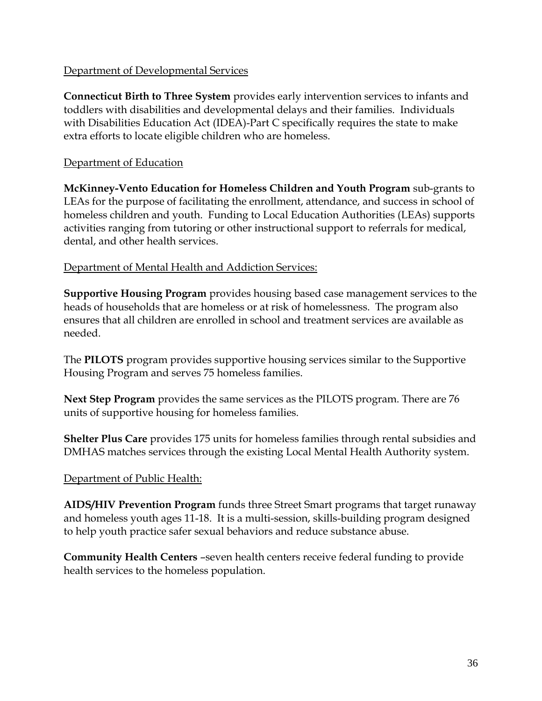#### Department of Developmental Services

**Connecticut Birth to Three System** provides early intervention services to infants and toddlers with disabilities and developmental delays and their families. Individuals with Disabilities Education Act (IDEA)-Part C specifically requires the state to make extra efforts to locate eligible children who are homeless.

#### Department of Education

**McKinney-Vento Education for Homeless Children and Youth Program** sub-grants to LEAs for the purpose of facilitating the enrollment, attendance, and success in school of homeless children and youth. Funding to Local Education Authorities (LEAs) supports activities ranging from tutoring or other instructional support to referrals for medical, dental, and other health services.

#### Department of Mental Health and Addiction Services:

**Supportive Housing Program** provides housing based case management services to the heads of households that are homeless or at risk of homelessness. The program also ensures that all children are enrolled in school and treatment services are available as needed.

The **PILOTS** program provides supportive housing services similar to the Supportive Housing Program and serves 75 homeless families.

**Next Step Program** provides the same services as the PILOTS program. There are 76 units of supportive housing for homeless families.

**Shelter Plus Care** provides 175 units for homeless families through rental subsidies and DMHAS matches services through the existing Local Mental Health Authority system.

#### Department of Public Health:

**AIDS/HIV Prevention Program** funds three Street Smart programs that target runaway and homeless youth ages 11-18. It is a multi-session, skills-building program designed to help youth practice safer sexual behaviors and reduce substance abuse.

**Community Health Centers** –seven health centers receive federal funding to provide health services to the homeless population.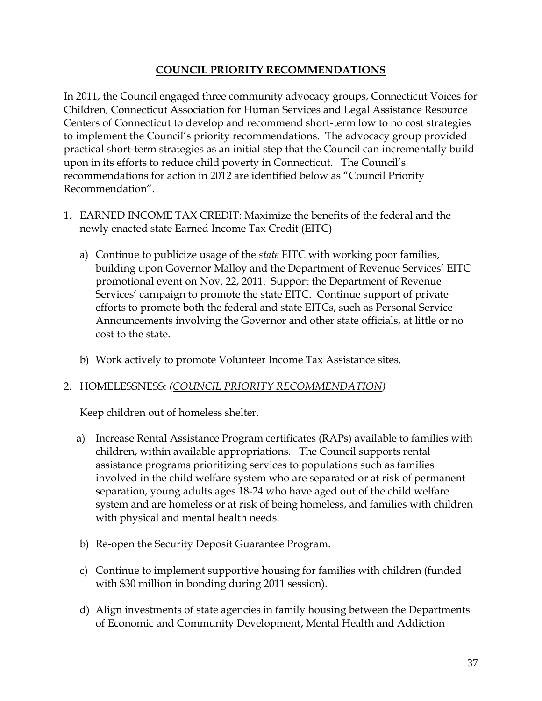#### **COUNCIL PRIORITY RECOMMENDATIONS**

In 2011, the Council engaged three community advocacy groups, Connecticut Voices for Children, Connecticut Association for Human Services and Legal Assistance Resource Centers of Connecticut to develop and recommend short-term low to no cost strategies to implement the Council's priority recommendations. The advocacy group provided practical short-term strategies as an initial step that the Council can incrementally build upon in its efforts to reduce child poverty in Connecticut. The Council's recommendations for action in 2012 are identified below as "Council Priority Recommendation".

- 1. EARNED INCOME TAX CREDIT: Maximize the benefits of the federal and the newly enacted state Earned Income Tax Credit (EITC)
	- a) Continue to publicize usage of the *state* EITC with working poor families, building upon Governor Malloy and the Department of Revenue Services' EITC promotional event on Nov. 22, 2011. Support the Department of Revenue Services' campaign to promote the state EITC. Continue support of private efforts to promote both the federal and state EITCs, such as Personal Service Announcements involving the Governor and other state officials, at little or no cost to the state.
	- b) Work actively to promote Volunteer Income Tax Assistance sites.

#### 2. HOMELESSNESS: *(COUNCIL PRIORITY RECOMMENDATION)*

Keep children out of homeless shelter.

- a) Increase Rental Assistance Program certificates (RAPs) available to families with children, within available appropriations. The Council supports rental assistance programs prioritizing services to populations such as families involved in the child welfare system who are separated or at risk of permanent separation, young adults ages 18-24 who have aged out of the child welfare system and are homeless or at risk of being homeless, and families with children with physical and mental health needs.
- b) Re-open the Security Deposit Guarantee Program.
- c) Continue to implement supportive housing for families with children (funded with \$30 million in bonding during 2011 session).
- d) Align investments of state agencies in family housing between the Departments of Economic and Community Development, Mental Health and Addiction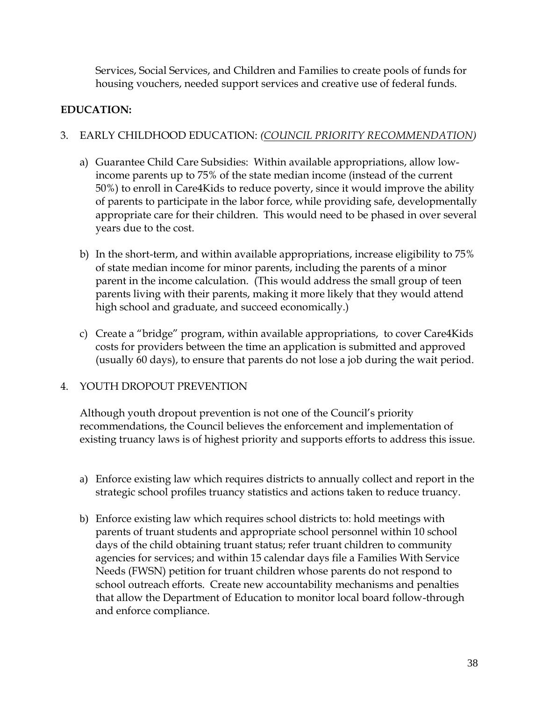Services, Social Services, and Children and Families to create pools of funds for housing vouchers, needed support services and creative use of federal funds.

#### **EDUCATION:**

#### 3. EARLY CHILDHOOD EDUCATION: *(COUNCIL PRIORITY RECOMMENDATION)*

- a) Guarantee Child Care Subsidies: Within available appropriations, allow lowincome parents up to 75% of the state median income (instead of the current 50%) to enroll in Care4Kids to reduce poverty, since it would improve the ability of parents to participate in the labor force, while providing safe, developmentally appropriate care for their children. This would need to be phased in over several years due to the cost.
- b) In the short-term, and within available appropriations, increase eligibility to 75% of state median income for minor parents, including the parents of a minor parent in the income calculation. (This would address the small group of teen parents living with their parents, making it more likely that they would attend high school and graduate, and succeed economically.)
- c) Create a "bridge" program, within available appropriations, to cover Care4Kids costs for providers between the time an application is submitted and approved (usually 60 days), to ensure that parents do not lose a job during the wait period.

#### 4. YOUTH DROPOUT PREVENTION

Although youth dropout prevention is not one of the Council's priority recommendations, the Council believes the enforcement and implementation of existing truancy laws is of highest priority and supports efforts to address this issue.

- a) Enforce existing law which requires districts to annually collect and report in the strategic school profiles truancy statistics and actions taken to reduce truancy.
- b) Enforce existing law which requires school districts to: hold meetings with parents of truant students and appropriate school personnel within 10 school days of the child obtaining truant status; refer truant children to community agencies for services; and within 15 calendar days file a Families With Service Needs (FWSN) petition for truant children whose parents do not respond to school outreach efforts. Create new accountability mechanisms and penalties that allow the Department of Education to monitor local board follow-through and enforce compliance.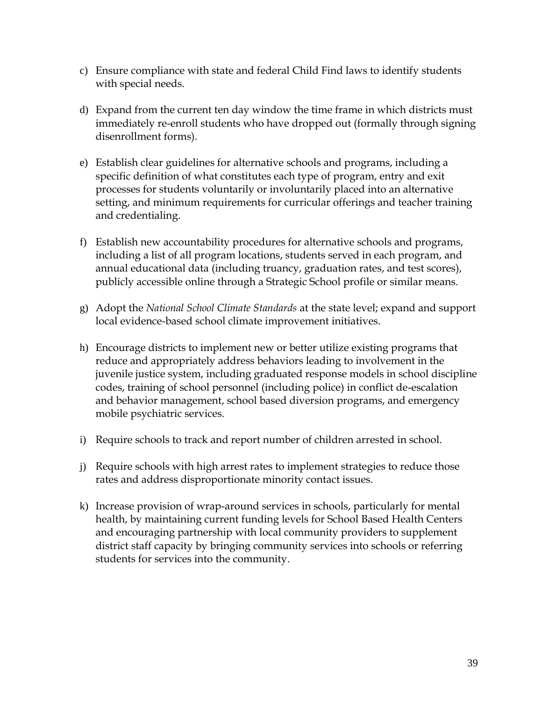- c) Ensure compliance with state and federal Child Find laws to identify students with special needs.
- d) Expand from the current ten day window the time frame in which districts must immediately re-enroll students who have dropped out (formally through signing disenrollment forms).
- e) Establish clear guidelines for alternative schools and programs, including a specific definition of what constitutes each type of program, entry and exit processes for students voluntarily or involuntarily placed into an alternative setting, and minimum requirements for curricular offerings and teacher training and credentialing.
- f) Establish new accountability procedures for alternative schools and programs, including a list of all program locations, students served in each program, and annual educational data (including truancy, graduation rates, and test scores), publicly accessible online through a Strategic School profile or similar means.
- g) Adopt the *National School Climate Standards* at the state level; expand and support local evidence-based school climate improvement initiatives.
- h) Encourage districts to implement new or better utilize existing programs that reduce and appropriately address behaviors leading to involvement in the juvenile justice system, including graduated response models in school discipline codes, training of school personnel (including police) in conflict de-escalation and behavior management, school based diversion programs, and emergency mobile psychiatric services.
- i) Require schools to track and report number of children arrested in school.
- j) Require schools with high arrest rates to implement strategies to reduce those rates and address disproportionate minority contact issues.
- k) Increase provision of wrap-around services in schools, particularly for mental health, by maintaining current funding levels for School Based Health Centers and encouraging partnership with local community providers to supplement district staff capacity by bringing community services into schools or referring students for services into the community.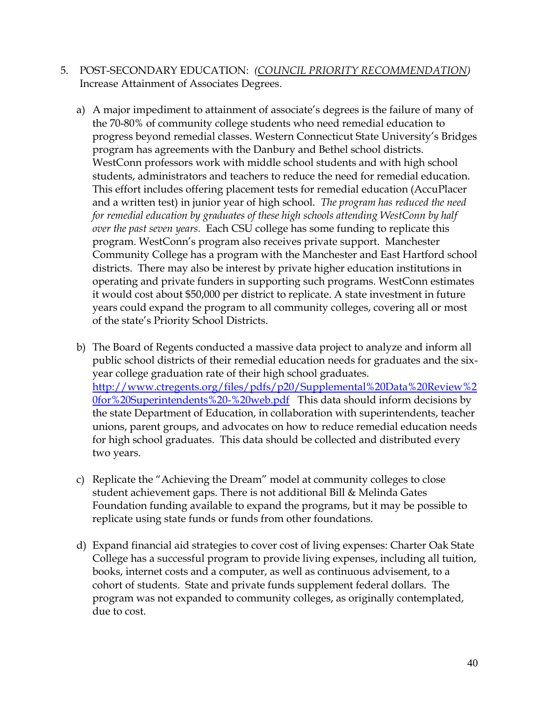- 5. POST-SECONDARY EDUCATION: *(COUNCIL PRIORITY RECOMMENDATION)* Increase Attainment of Associates Degrees.
	- a) A major impediment to attainment of associate's degrees is the failure of many of the 70-80% of community college students who need remedial education to progress beyond remedial classes. Western Connecticut State University's Bridges program has agreements with the Danbury and Bethel school districts. WestConn professors work with middle school students and with high school students, administrators and teachers to reduce the need for remedial education. This effort includes offering placement tests for remedial education (AccuPlacer and a written test) in junior year of high school. *The program has reduced the need for remedial education by graduates of these high schools attending WestConn by half over the past seven years.* Each CSU college has some funding to replicate this program. WestConn's program also receives private support. Manchester Community College has a program with the Manchester and East Hartford school districts. There may also be interest by private higher education institutions in operating and private funders in supporting such programs. WestConn estimates it would cost about \$50,000 per district to replicate. A state investment in future years could expand the program to all community colleges, covering all or most of the state's Priority School Districts.
	- b) The Board of Regents conducted a massive data project to analyze and inform all public school districts of their remedial education needs for graduates and the sixyear college graduation rate of their high school graduates. [http://www.ctregents.org/files/pdfs/p20/Supplemental%20Data%20Review%2](http://www.ctregents.org/files/pdfs/p20/Supplemental%20Data%20Review%20for%20Superintendents%20-%20web.pdf) [0for%20Superintendents%20-%20web.pdf](http://www.ctregents.org/files/pdfs/p20/Supplemental%20Data%20Review%20for%20Superintendents%20-%20web.pdf) This data should inform decisions by the state Department of Education, in collaboration with superintendents, teacher unions, parent groups, and advocates on how to reduce remedial education needs for high school graduates. This data should be collected and distributed every two years.
	- c) Replicate the "Achieving the Dream" model at community colleges to close student achievement gaps. There is not additional Bill & Melinda Gates Foundation funding available to expand the programs, but it may be possible to replicate using state funds or funds from other foundations.
	- d) Expand financial aid strategies to cover cost of living expenses: Charter Oak State College has a successful program to provide living expenses, including all tuition, books, internet costs and a computer, as well as continuous advisement, to a cohort of students. State and private funds supplement federal dollars. The program was not expanded to community colleges, as originally contemplated, due to cost.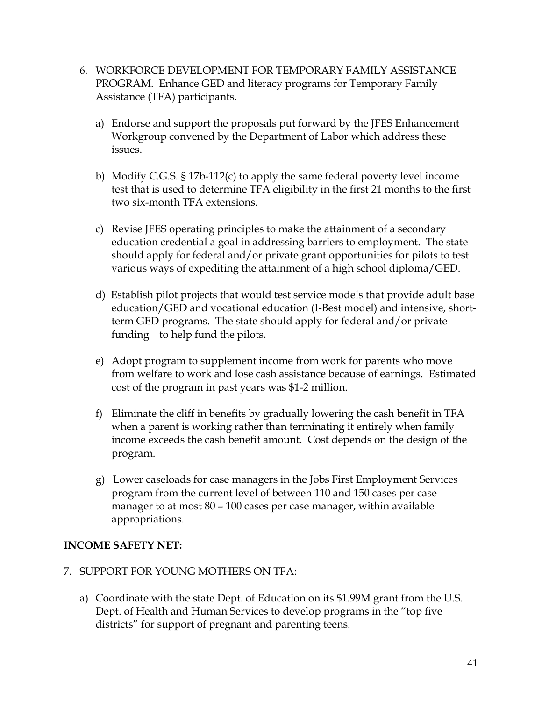- 6. WORKFORCE DEVELOPMENT FOR TEMPORARY FAMILY ASSISTANCE PROGRAM. Enhance GED and literacy programs for Temporary Family Assistance (TFA) participants.
	- a) Endorse and support the proposals put forward by the JFES Enhancement Workgroup convened by the Department of Labor which address these issues.
	- b) Modify C.G.S. § 17b-112(c) to apply the same federal poverty level income test that is used to determine TFA eligibility in the first 21 months to the first two six-month TFA extensions.
	- c) Revise JFES operating principles to make the attainment of a secondary education credential a goal in addressing barriers to employment. The state should apply for federal and/or private grant opportunities for pilots to test various ways of expediting the attainment of a high school diploma/GED.
	- d) Establish pilot projects that would test service models that provide adult base education/GED and vocational education (I-Best model) and intensive, shortterm GED programs. The state should apply for federal and/or private funding to help fund the pilots.
	- e) Adopt program to supplement income from work for parents who move from welfare to work and lose cash assistance because of earnings. Estimated cost of the program in past years was \$1-2 million.
	- f) Eliminate the cliff in benefits by gradually lowering the cash benefit in TFA when a parent is working rather than terminating it entirely when family income exceeds the cash benefit amount. Cost depends on the design of the program.
	- g) Lower caseloads for case managers in the Jobs First Employment Services program from the current level of between 110 and 150 cases per case manager to at most 80 – 100 cases per case manager, within available appropriations.

#### **INCOME SAFETY NET:**

- 7. SUPPORT FOR YOUNG MOTHERS ON TFA:
	- a) Coordinate with the state Dept. of Education on its \$1.99M grant from the U.S. Dept. of Health and Human Services to develop programs in the "top five districts" for support of pregnant and parenting teens.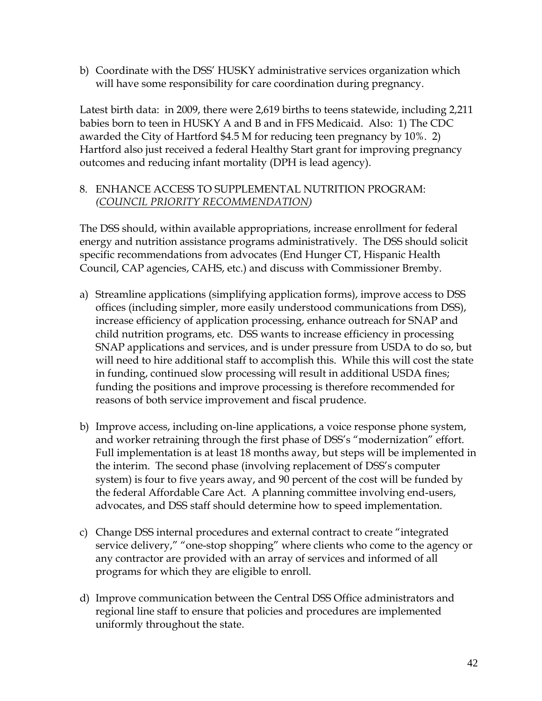b) Coordinate with the DSS' HUSKY administrative services organization which will have some responsibility for care coordination during pregnancy.

Latest birth data: in 2009, there were 2,619 births to teens statewide, including 2,211 babies born to teen in HUSKY A and B and in FFS Medicaid. Also: 1) The CDC awarded the City of Hartford \$4.5 M for reducing teen pregnancy by 10%. 2) Hartford also just received a federal Healthy Start grant for improving pregnancy outcomes and reducing infant mortality (DPH is lead agency).

#### 8. ENHANCE ACCESS TO SUPPLEMENTAL NUTRITION PROGRAM: *(COUNCIL PRIORITY RECOMMENDATION)*

The DSS should, within available appropriations, increase enrollment for federal energy and nutrition assistance programs administratively. The DSS should solicit specific recommendations from advocates (End Hunger CT, Hispanic Health Council, CAP agencies, CAHS, etc.) and discuss with Commissioner Bremby.

- a) Streamline applications (simplifying application forms), improve access to DSS offices (including simpler, more easily understood communications from DSS), increase efficiency of application processing, enhance outreach for SNAP and child nutrition programs, etc. DSS wants to increase efficiency in processing SNAP applications and services, and is under pressure from USDA to do so, but will need to hire additional staff to accomplish this. While this will cost the state in funding, continued slow processing will result in additional USDA fines; funding the positions and improve processing is therefore recommended for reasons of both service improvement and fiscal prudence.
- b) Improve access, including on-line applications, a voice response phone system, and worker retraining through the first phase of DSS's "modernization" effort. Full implementation is at least 18 months away, but steps will be implemented in the interim. The second phase (involving replacement of DSS's computer system) is four to five years away, and 90 percent of the cost will be funded by the federal Affordable Care Act. A planning committee involving end-users, advocates, and DSS staff should determine how to speed implementation.
- c) Change DSS internal procedures and external contract to create "integrated service delivery," "one-stop shopping" where clients who come to the agency or any contractor are provided with an array of services and informed of all programs for which they are eligible to enroll.
- d) Improve communication between the Central DSS Office administrators and regional line staff to ensure that policies and procedures are implemented uniformly throughout the state.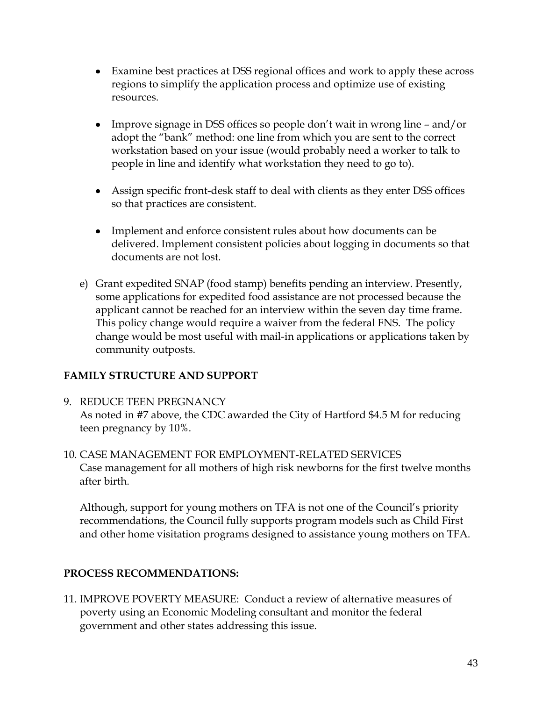- Examine best practices at DSS regional offices and work to apply these across regions to simplify the application process and optimize use of existing resources.
- Improve signage in DSS offices so people don't wait in wrong line and/or adopt the "bank" method: one line from which you are sent to the correct workstation based on your issue (would probably need a worker to talk to people in line and identify what workstation they need to go to).
- Assign specific front-desk staff to deal with clients as they enter DSS offices so that practices are consistent.
- Implement and enforce consistent rules about how documents can be delivered. Implement consistent policies about logging in documents so that documents are not lost.
- e) Grant expedited SNAP (food stamp) benefits pending an interview. Presently, some applications for expedited food assistance are not processed because the applicant cannot be reached for an interview within the seven day time frame. This policy change would require a waiver from the federal FNS. The policy change would be most useful with mail-in applications or applications taken by community outposts.

#### **FAMILY STRUCTURE AND SUPPORT**

- 9. REDUCE TEEN PREGNANCY As noted in #7 above, the CDC awarded the City of Hartford \$4.5 M for reducing teen pregnancy by 10%.
- 10. CASE MANAGEMENT FOR EMPLOYMENT-RELATED SERVICES Case management for all mothers of high risk newborns for the first twelve months after birth.

Although, support for young mothers on TFA is not one of the Council's priority recommendations, the Council fully supports program models such as Child First and other home visitation programs designed to assistance young mothers on TFA.

#### **PROCESS RECOMMENDATIONS:**

11. IMPROVE POVERTY MEASURE: Conduct a review of alternative measures of poverty using an Economic Modeling consultant and monitor the federal government and other states addressing this issue.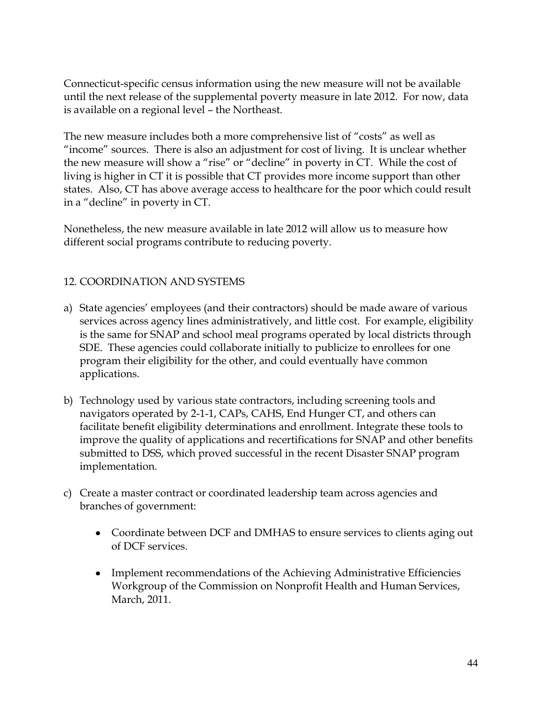Connecticut-specific census information using the new measure will not be available until the next release of the supplemental poverty measure in late 2012. For now, data is available on a regional level – the Northeast.

The new measure includes both a more comprehensive list of "costs" as well as "income" sources. There is also an adjustment for cost of living. It is unclear whether the new measure will show a "rise" or "decline" in poverty in CT. While the cost of living is higher in CT it is possible that CT provides more income support than other states. Also, CT has above average access to healthcare for the poor which could result in a "decline" in poverty in CT.

Nonetheless, the new measure available in late 2012 will allow us to measure how different social programs contribute to reducing poverty.

#### 12. COORDINATION AND SYSTEMS

- a) State agencies' employees (and their contractors) should be made aware of various services across agency lines administratively, and little cost. For example, eligibility is the same for SNAP and school meal programs operated by local districts through SDE. These agencies could collaborate initially to publicize to enrollees for one program their eligibility for the other, and could eventually have common applications.
- b) Technology used by various state contractors, including screening tools and navigators operated by 2-1-1, CAPs, CAHS, End Hunger CT, and others can facilitate benefit eligibility determinations and enrollment. Integrate these tools to improve the quality of applications and recertifications for SNAP and other benefits submitted to DSS, which proved successful in the recent Disaster SNAP program implementation.
- c) Create a master contract or coordinated leadership team across agencies and branches of government:
	- Coordinate between DCF and DMHAS to ensure services to clients aging out of DCF services.
	- Implement recommendations of the Achieving Administrative Efficiencies Workgroup of the Commission on Nonprofit Health and Human Services, March, 2011.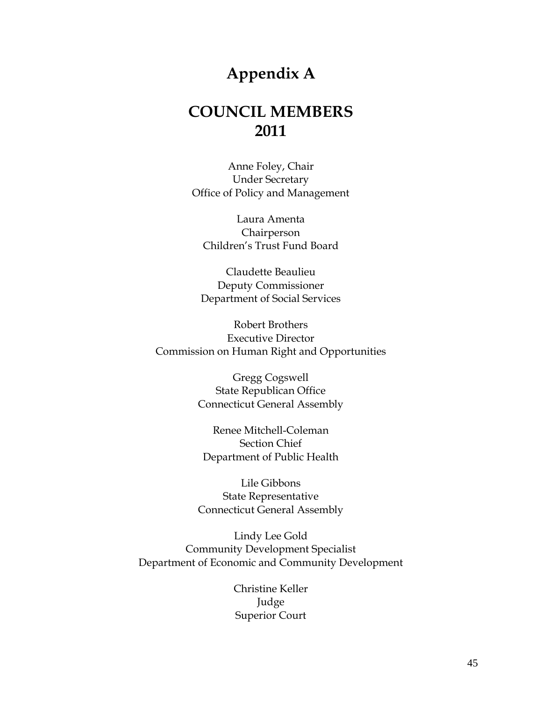## **Appendix A**

## **COUNCIL MEMBERS 2011**

Anne Foley, Chair Under Secretary Office of Policy and Management

Laura Amenta Chairperson Children's Trust Fund Board

Claudette Beaulieu Deputy Commissioner Department of Social Services

Robert Brothers Executive Director Commission on Human Right and Opportunities

> Gregg Cogswell State Republican Office Connecticut General Assembly

Renee Mitchell-Coleman Section Chief Department of Public Health

Lile Gibbons State Representative Connecticut General Assembly

Lindy Lee Gold Community Development Specialist Department of Economic and Community Development

> Christine Keller Judge Superior Court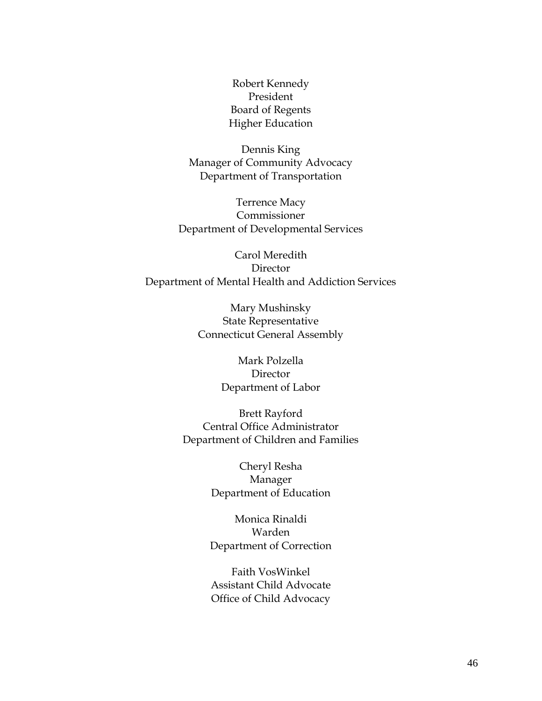Robert Kennedy President Board of Regents Higher Education

Dennis King Manager of Community Advocacy Department of Transportation

Terrence Macy Commissioner Department of Developmental Services

Carol Meredith Director Department of Mental Health and Addiction Services

> Mary Mushinsky State Representative Connecticut General Assembly

> > Mark Polzella Director Department of Labor

Brett Rayford Central Office Administrator Department of Children and Families

> Cheryl Resha Manager Department of Education

Monica Rinaldi Warden Department of Correction

Faith VosWinkel Assistant Child Advocate Office of Child Advocacy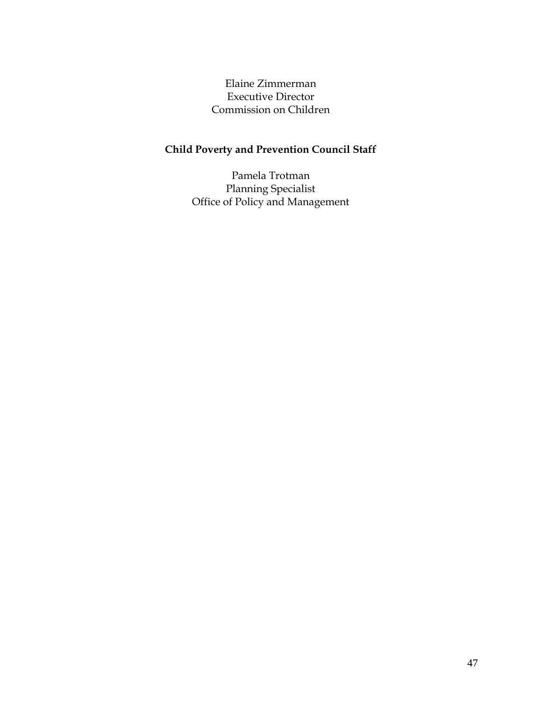Elaine Zimmerman Executive Director Commission on Children

## **Child Poverty and Prevention Council Staff**

Pamela Trotman Planning Specialist Office of Policy and Management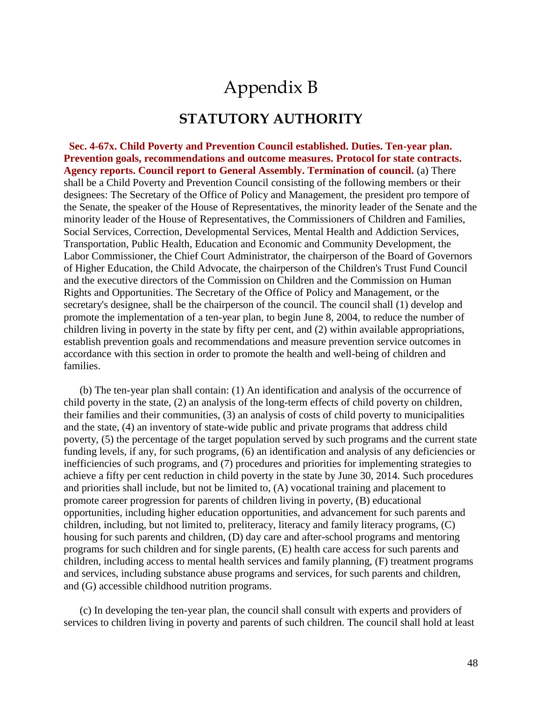## Appendix B

#### **STATUTORY AUTHORITY**

 **Sec. 4-67x. Child Poverty and Prevention Council established. Duties. Ten-year plan. Prevention goals, recommendations and outcome measures. Protocol for state contracts. Agency reports. Council report to General Assembly. Termination of council.** (a) There shall be a Child Poverty and Prevention Council consisting of the following members or their designees: The Secretary of the Office of Policy and Management, the president pro tempore of the Senate, the speaker of the House of Representatives, the minority leader of the Senate and the minority leader of the House of Representatives, the Commissioners of Children and Families, Social Services, Correction, Developmental Services, Mental Health and Addiction Services, Transportation, Public Health, Education and Economic and Community Development, the Labor Commissioner, the Chief Court Administrator, the chairperson of the Board of Governors of Higher Education, the Child Advocate, the chairperson of the Children's Trust Fund Council and the executive directors of the Commission on Children and the Commission on Human Rights and Opportunities. The Secretary of the Office of Policy and Management, or the secretary's designee, shall be the chairperson of the council. The council shall (1) develop and promote the implementation of a ten-year plan, to begin June 8, 2004, to reduce the number of children living in poverty in the state by fifty per cent, and (2) within available appropriations, establish prevention goals and recommendations and measure prevention service outcomes in accordance with this section in order to promote the health and well-being of children and families.

 (b) The ten-year plan shall contain: (1) An identification and analysis of the occurrence of child poverty in the state, (2) an analysis of the long-term effects of child poverty on children, their families and their communities, (3) an analysis of costs of child poverty to municipalities and the state, (4) an inventory of state-wide public and private programs that address child poverty, (5) the percentage of the target population served by such programs and the current state funding levels, if any, for such programs, (6) an identification and analysis of any deficiencies or inefficiencies of such programs, and (7) procedures and priorities for implementing strategies to achieve a fifty per cent reduction in child poverty in the state by June 30, 2014. Such procedures and priorities shall include, but not be limited to, (A) vocational training and placement to promote career progression for parents of children living in poverty, (B) educational opportunities, including higher education opportunities, and advancement for such parents and children, including, but not limited to, preliteracy, literacy and family literacy programs, (C) housing for such parents and children, (D) day care and after-school programs and mentoring programs for such children and for single parents, (E) health care access for such parents and children, including access to mental health services and family planning, (F) treatment programs and services, including substance abuse programs and services, for such parents and children, and (G) accessible childhood nutrition programs.

 (c) In developing the ten-year plan, the council shall consult with experts and providers of services to children living in poverty and parents of such children. The council shall hold at least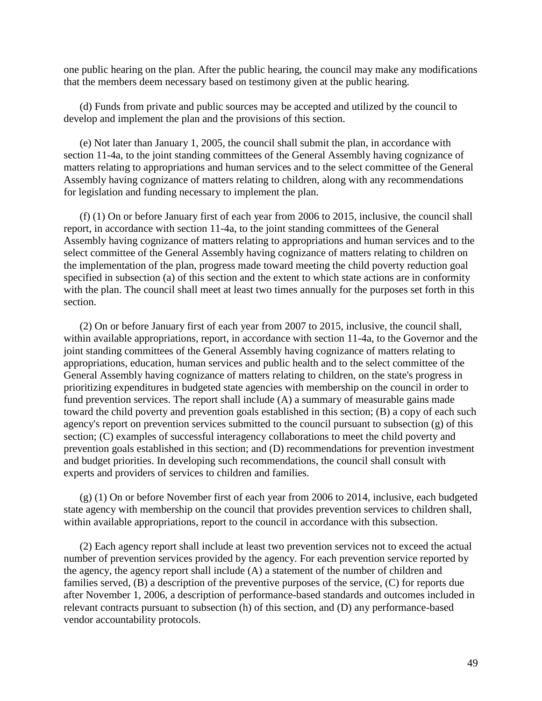one public hearing on the plan. After the public hearing, the council may make any modifications that the members deem necessary based on testimony given at the public hearing.

 (d) Funds from private and public sources may be accepted and utilized by the council to develop and implement the plan and the provisions of this section.

 (e) Not later than January 1, 2005, the council shall submit the plan, in accordance with section 11-4a, to the joint standing committees of the General Assembly having cognizance of matters relating to appropriations and human services and to the select committee of the General Assembly having cognizance of matters relating to children, along with any recommendations for legislation and funding necessary to implement the plan.

 (f) (1) On or before January first of each year from 2006 to 2015, inclusive, the council shall report, in accordance with section 11-4a, to the joint standing committees of the General Assembly having cognizance of matters relating to appropriations and human services and to the select committee of the General Assembly having cognizance of matters relating to children on the implementation of the plan, progress made toward meeting the child poverty reduction goal specified in subsection (a) of this section and the extent to which state actions are in conformity with the plan. The council shall meet at least two times annually for the purposes set forth in this section.

 (2) On or before January first of each year from 2007 to 2015, inclusive, the council shall, within available appropriations, report, in accordance with section 11-4a, to the Governor and the joint standing committees of the General Assembly having cognizance of matters relating to appropriations, education, human services and public health and to the select committee of the General Assembly having cognizance of matters relating to children, on the state's progress in prioritizing expenditures in budgeted state agencies with membership on the council in order to fund prevention services. The report shall include (A) a summary of measurable gains made toward the child poverty and prevention goals established in this section; (B) a copy of each such agency's report on prevention services submitted to the council pursuant to subsection (g) of this section; (C) examples of successful interagency collaborations to meet the child poverty and prevention goals established in this section; and (D) recommendations for prevention investment and budget priorities. In developing such recommendations, the council shall consult with experts and providers of services to children and families.

 $(g)$  (1) On or before November first of each year from 2006 to 2014, inclusive, each budgeted state agency with membership on the council that provides prevention services to children shall, within available appropriations, report to the council in accordance with this subsection.

 (2) Each agency report shall include at least two prevention services not to exceed the actual number of prevention services provided by the agency. For each prevention service reported by the agency, the agency report shall include (A) a statement of the number of children and families served, (B) a description of the preventive purposes of the service, (C) for reports due after November 1, 2006, a description of performance-based standards and outcomes included in relevant contracts pursuant to subsection (h) of this section, and (D) any performance-based vendor accountability protocols.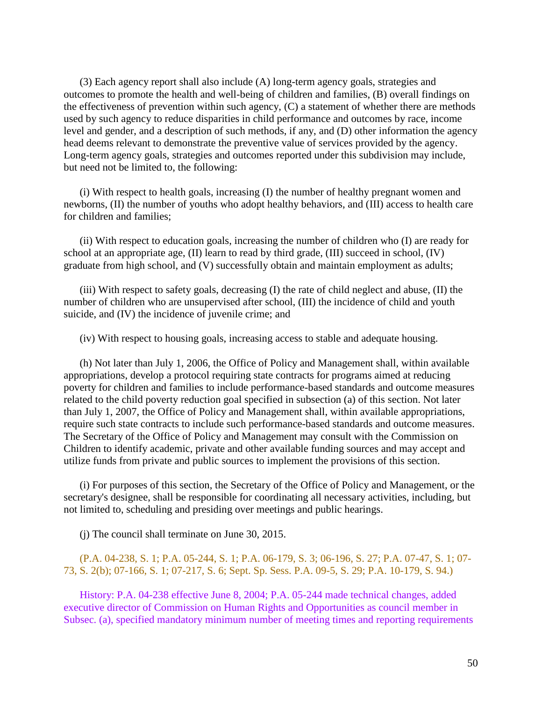(3) Each agency report shall also include (A) long-term agency goals, strategies and outcomes to promote the health and well-being of children and families, (B) overall findings on the effectiveness of prevention within such agency, (C) a statement of whether there are methods used by such agency to reduce disparities in child performance and outcomes by race, income level and gender, and a description of such methods, if any, and (D) other information the agency head deems relevant to demonstrate the preventive value of services provided by the agency. Long-term agency goals, strategies and outcomes reported under this subdivision may include, but need not be limited to, the following:

 (i) With respect to health goals, increasing (I) the number of healthy pregnant women and newborns, (II) the number of youths who adopt healthy behaviors, and (III) access to health care for children and families;

 (ii) With respect to education goals, increasing the number of children who (I) are ready for school at an appropriate age, (II) learn to read by third grade, (III) succeed in school, (IV) graduate from high school, and (V) successfully obtain and maintain employment as adults;

 (iii) With respect to safety goals, decreasing (I) the rate of child neglect and abuse, (II) the number of children who are unsupervised after school, (III) the incidence of child and youth suicide, and (IV) the incidence of juvenile crime; and

(iv) With respect to housing goals, increasing access to stable and adequate housing.

 (h) Not later than July 1, 2006, the Office of Policy and Management shall, within available appropriations, develop a protocol requiring state contracts for programs aimed at reducing poverty for children and families to include performance-based standards and outcome measures related to the child poverty reduction goal specified in subsection (a) of this section. Not later than July 1, 2007, the Office of Policy and Management shall, within available appropriations, require such state contracts to include such performance-based standards and outcome measures. The Secretary of the Office of Policy and Management may consult with the Commission on Children to identify academic, private and other available funding sources and may accept and utilize funds from private and public sources to implement the provisions of this section.

 (i) For purposes of this section, the Secretary of the Office of Policy and Management, or the secretary's designee, shall be responsible for coordinating all necessary activities, including, but not limited to, scheduling and presiding over meetings and public hearings.

(j) The council shall terminate on June 30, 2015.

#### (P.A. 04-238, S. 1; P.A. 05-244, S. 1; P.A. 06-179, S. 3; 06-196, S. 27; P.A. 07-47, S. 1; 07- 73, S. 2(b); 07-166, S. 1; 07-217, S. 6; Sept. Sp. Sess. P.A. 09-5, S. 29; P.A. 10-179, S. 94.)

 History: P.A. 04-238 effective June 8, 2004; P.A. 05-244 made technical changes, added executive director of Commission on Human Rights and Opportunities as council member in Subsec. (a), specified mandatory minimum number of meeting times and reporting requirements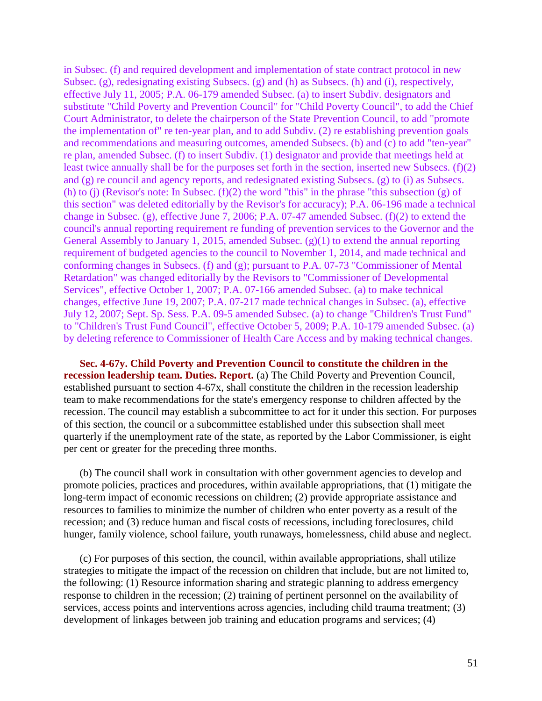in Subsec. (f) and required development and implementation of state contract protocol in new Subsec. (g), redesignating existing Subsecs. (g) and (h) as Subsecs. (h) and (i), respectively, effective July 11, 2005; P.A. 06-179 amended Subsec. (a) to insert Subdiv. designators and substitute "Child Poverty and Prevention Council" for "Child Poverty Council", to add the Chief Court Administrator, to delete the chairperson of the State Prevention Council, to add "promote the implementation of" re ten-year plan, and to add Subdiv. (2) re establishing prevention goals and recommendations and measuring outcomes, amended Subsecs. (b) and (c) to add "ten-year" re plan, amended Subsec. (f) to insert Subdiv. (1) designator and provide that meetings held at least twice annually shall be for the purposes set forth in the section, inserted new Subsecs. (f)(2) and (g) re council and agency reports, and redesignated existing Subsecs. (g) to (i) as Subsecs. (h) to (j) (Revisor's note: In Subsec.  $(f)(2)$  the word "this" in the phrase "this subsection (g) of this section" was deleted editorially by the Revisor's for accuracy); P.A. 06-196 made a technical change in Subsec. (g), effective June 7, 2006; P.A. 07-47 amended Subsec. (f)(2) to extend the council's annual reporting requirement re funding of prevention services to the Governor and the General Assembly to January 1, 2015, amended Subsec. (g)(1) to extend the annual reporting requirement of budgeted agencies to the council to November 1, 2014, and made technical and conforming changes in Subsecs. (f) and (g); pursuant to P.A. 07-73 "Commissioner of Mental Retardation" was changed editorially by the Revisors to "Commissioner of Developmental Services", effective October 1, 2007; P.A. 07-166 amended Subsec. (a) to make technical changes, effective June 19, 2007; P.A. 07-217 made technical changes in Subsec. (a), effective July 12, 2007; Sept. Sp. Sess. P.A. 09-5 amended Subsec. (a) to change "Children's Trust Fund" to "Children's Trust Fund Council", effective October 5, 2009; P.A. 10-179 amended Subsec. (a) by deleting reference to Commissioner of Health Care Access and by making technical changes.

 **Sec. 4-67y. Child Poverty and Prevention Council to constitute the children in the recession leadership team. Duties. Report.** (a) The Child Poverty and Prevention Council, established pursuant to section 4-67x, shall constitute the children in the recession leadership team to make recommendations for the state's emergency response to children affected by the recession. The council may establish a subcommittee to act for it under this section. For purposes of this section, the council or a subcommittee established under this subsection shall meet quarterly if the unemployment rate of the state, as reported by the Labor Commissioner, is eight per cent or greater for the preceding three months.

 (b) The council shall work in consultation with other government agencies to develop and promote policies, practices and procedures, within available appropriations, that (1) mitigate the long-term impact of economic recessions on children; (2) provide appropriate assistance and resources to families to minimize the number of children who enter poverty as a result of the recession; and (3) reduce human and fiscal costs of recessions, including foreclosures, child hunger, family violence, school failure, youth runaways, homelessness, child abuse and neglect.

 (c) For purposes of this section, the council, within available appropriations, shall utilize strategies to mitigate the impact of the recession on children that include, but are not limited to, the following: (1) Resource information sharing and strategic planning to address emergency response to children in the recession; (2) training of pertinent personnel on the availability of services, access points and interventions across agencies, including child trauma treatment; (3) development of linkages between job training and education programs and services; (4)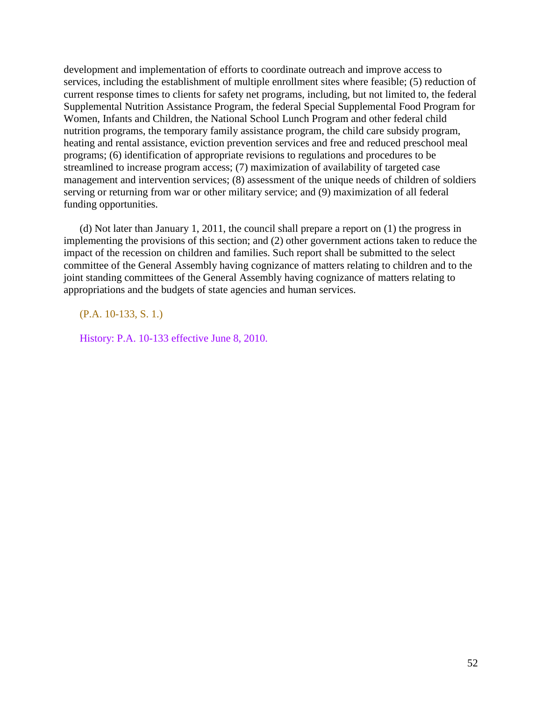development and implementation of efforts to coordinate outreach and improve access to services, including the establishment of multiple enrollment sites where feasible; (5) reduction of current response times to clients for safety net programs, including, but not limited to, the federal Supplemental Nutrition Assistance Program, the federal Special Supplemental Food Program for Women, Infants and Children, the National School Lunch Program and other federal child nutrition programs, the temporary family assistance program, the child care subsidy program, heating and rental assistance, eviction prevention services and free and reduced preschool meal programs; (6) identification of appropriate revisions to regulations and procedures to be streamlined to increase program access; (7) maximization of availability of targeted case management and intervention services; (8) assessment of the unique needs of children of soldiers serving or returning from war or other military service; and (9) maximization of all federal funding opportunities.

 (d) Not later than January 1, 2011, the council shall prepare a report on (1) the progress in implementing the provisions of this section; and (2) other government actions taken to reduce the impact of the recession on children and families. Such report shall be submitted to the select committee of the General Assembly having cognizance of matters relating to children and to the joint standing committees of the General Assembly having cognizance of matters relating to appropriations and the budgets of state agencies and human services.

(P.A. 10-133, S. 1.)

History: P.A. 10-133 effective June 8, 2010.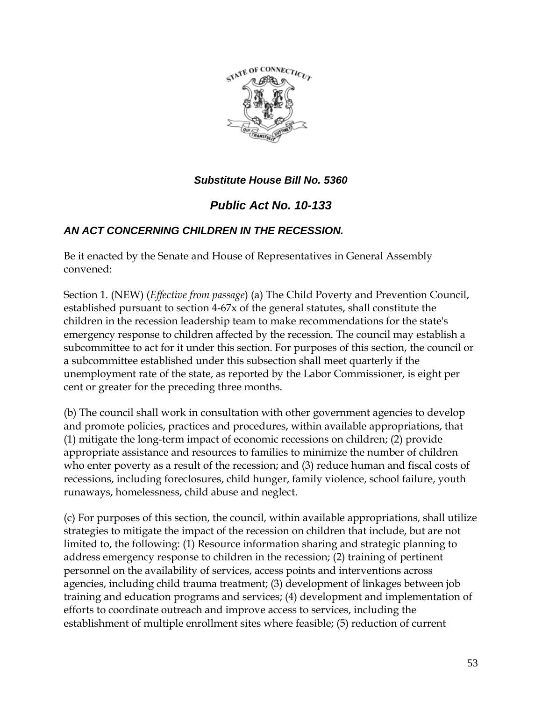

#### *Substitute House Bill No. 5360*

### *Public Act No. 10-133*

#### *AN ACT CONCERNING CHILDREN IN THE RECESSION.*

Be it enacted by the Senate and House of Representatives in General Assembly convened:

Section 1. (NEW) (*Effective from passage*) (a) The Child Poverty and Prevention Council, established pursuant to section 4-67x of the general statutes, shall constitute the children in the recession leadership team to make recommendations for the state's emergency response to children affected by the recession. The council may establish a subcommittee to act for it under this section. For purposes of this section, the council or a subcommittee established under this subsection shall meet quarterly if the unemployment rate of the state, as reported by the Labor Commissioner, is eight per cent or greater for the preceding three months.

(b) The council shall work in consultation with other government agencies to develop and promote policies, practices and procedures, within available appropriations, that (1) mitigate the long-term impact of economic recessions on children; (2) provide appropriate assistance and resources to families to minimize the number of children who enter poverty as a result of the recession; and (3) reduce human and fiscal costs of recessions, including foreclosures, child hunger, family violence, school failure, youth runaways, homelessness, child abuse and neglect.

(c) For purposes of this section, the council, within available appropriations, shall utilize strategies to mitigate the impact of the recession on children that include, but are not limited to, the following: (1) Resource information sharing and strategic planning to address emergency response to children in the recession; (2) training of pertinent personnel on the availability of services, access points and interventions across agencies, including child trauma treatment; (3) development of linkages between job training and education programs and services; (4) development and implementation of efforts to coordinate outreach and improve access to services, including the establishment of multiple enrollment sites where feasible; (5) reduction of current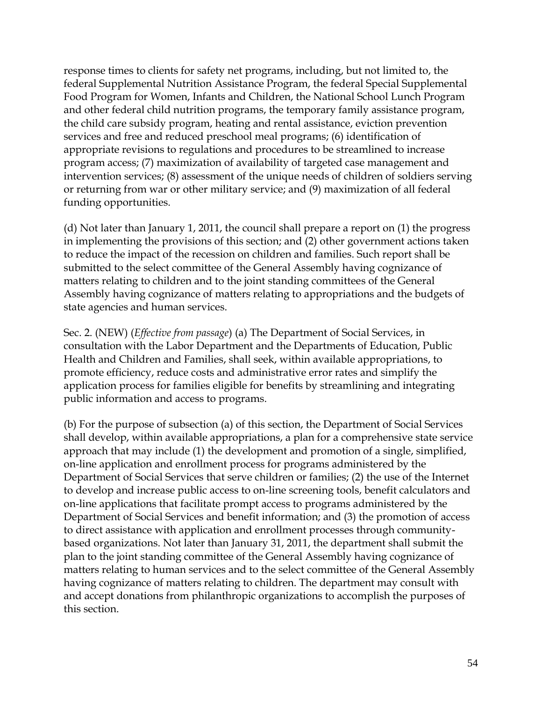response times to clients for safety net programs, including, but not limited to, the federal Supplemental Nutrition Assistance Program, the federal Special Supplemental Food Program for Women, Infants and Children, the National School Lunch Program and other federal child nutrition programs, the temporary family assistance program, the child care subsidy program, heating and rental assistance, eviction prevention services and free and reduced preschool meal programs; (6) identification of appropriate revisions to regulations and procedures to be streamlined to increase program access; (7) maximization of availability of targeted case management and intervention services; (8) assessment of the unique needs of children of soldiers serving or returning from war or other military service; and (9) maximization of all federal funding opportunities.

(d) Not later than January 1, 2011, the council shall prepare a report on (1) the progress in implementing the provisions of this section; and (2) other government actions taken to reduce the impact of the recession on children and families. Such report shall be submitted to the select committee of the General Assembly having cognizance of matters relating to children and to the joint standing committees of the General Assembly having cognizance of matters relating to appropriations and the budgets of state agencies and human services.

Sec. 2. (NEW) (*Effective from passage*) (a) The Department of Social Services, in consultation with the Labor Department and the Departments of Education, Public Health and Children and Families, shall seek, within available appropriations, to promote efficiency, reduce costs and administrative error rates and simplify the application process for families eligible for benefits by streamlining and integrating public information and access to programs.

(b) For the purpose of subsection (a) of this section, the Department of Social Services shall develop, within available appropriations, a plan for a comprehensive state service approach that may include (1) the development and promotion of a single, simplified, on-line application and enrollment process for programs administered by the Department of Social Services that serve children or families; (2) the use of the Internet to develop and increase public access to on-line screening tools, benefit calculators and on-line applications that facilitate prompt access to programs administered by the Department of Social Services and benefit information; and (3) the promotion of access to direct assistance with application and enrollment processes through communitybased organizations. Not later than January 31, 2011, the department shall submit the plan to the joint standing committee of the General Assembly having cognizance of matters relating to human services and to the select committee of the General Assembly having cognizance of matters relating to children. The department may consult with and accept donations from philanthropic organizations to accomplish the purposes of this section.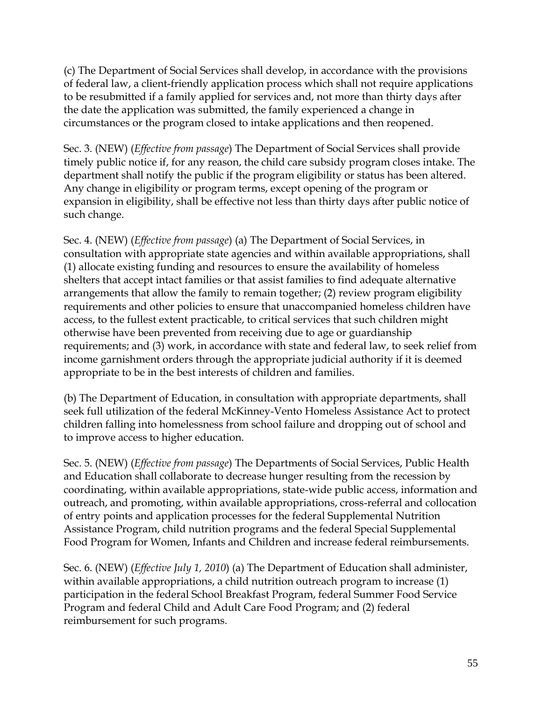(c) The Department of Social Services shall develop, in accordance with the provisions of federal law, a client-friendly application process which shall not require applications to be resubmitted if a family applied for services and, not more than thirty days after the date the application was submitted, the family experienced a change in circumstances or the program closed to intake applications and then reopened.

Sec. 3. (NEW) (*Effective from passage*) The Department of Social Services shall provide timely public notice if, for any reason, the child care subsidy program closes intake. The department shall notify the public if the program eligibility or status has been altered. Any change in eligibility or program terms, except opening of the program or expansion in eligibility, shall be effective not less than thirty days after public notice of such change.

Sec. 4. (NEW) (*Effective from passage*) (a) The Department of Social Services, in consultation with appropriate state agencies and within available appropriations, shall (1) allocate existing funding and resources to ensure the availability of homeless shelters that accept intact families or that assist families to find adequate alternative arrangements that allow the family to remain together; (2) review program eligibility requirements and other policies to ensure that unaccompanied homeless children have access, to the fullest extent practicable, to critical services that such children might otherwise have been prevented from receiving due to age or guardianship requirements; and (3) work, in accordance with state and federal law, to seek relief from income garnishment orders through the appropriate judicial authority if it is deemed appropriate to be in the best interests of children and families.

(b) The Department of Education, in consultation with appropriate departments, shall seek full utilization of the federal McKinney-Vento Homeless Assistance Act to protect children falling into homelessness from school failure and dropping out of school and to improve access to higher education.

Sec. 5. (NEW) (*Effective from passage*) The Departments of Social Services, Public Health and Education shall collaborate to decrease hunger resulting from the recession by coordinating, within available appropriations, state-wide public access, information and outreach, and promoting, within available appropriations, cross-referral and collocation of entry points and application processes for the federal Supplemental Nutrition Assistance Program, child nutrition programs and the federal Special Supplemental Food Program for Women, Infants and Children and increase federal reimbursements.

Sec. 6. (NEW) (*Effective July 1, 2010*) (a) The Department of Education shall administer, within available appropriations, a child nutrition outreach program to increase (1) participation in the federal School Breakfast Program, federal Summer Food Service Program and federal Child and Adult Care Food Program; and (2) federal reimbursement for such programs.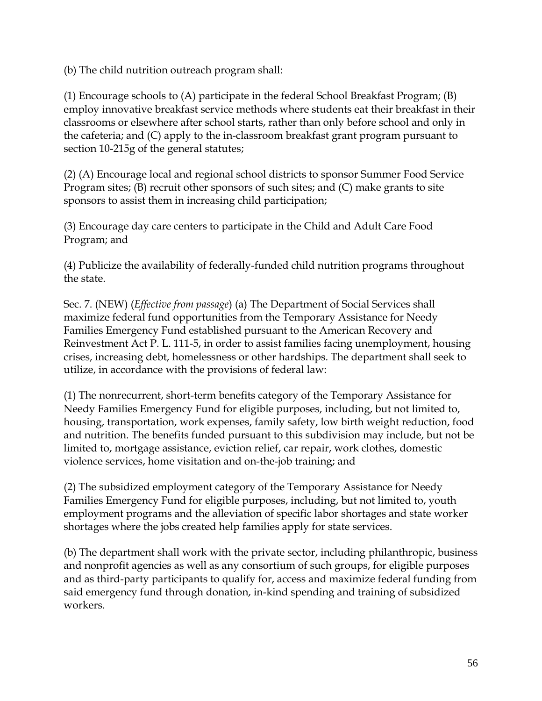(b) The child nutrition outreach program shall:

(1) Encourage schools to (A) participate in the federal School Breakfast Program; (B) employ innovative breakfast service methods where students eat their breakfast in their classrooms or elsewhere after school starts, rather than only before school and only in the cafeteria; and (C) apply to the in-classroom breakfast grant program pursuant to section 10-215g of the general statutes;

(2) (A) Encourage local and regional school districts to sponsor Summer Food Service Program sites; (B) recruit other sponsors of such sites; and (C) make grants to site sponsors to assist them in increasing child participation;

(3) Encourage day care centers to participate in the Child and Adult Care Food Program; and

(4) Publicize the availability of federally-funded child nutrition programs throughout the state.

Sec. 7. (NEW) (*Effective from passage*) (a) The Department of Social Services shall maximize federal fund opportunities from the Temporary Assistance for Needy Families Emergency Fund established pursuant to the American Recovery and Reinvestment Act P. L. 111-5, in order to assist families facing unemployment, housing crises, increasing debt, homelessness or other hardships. The department shall seek to utilize, in accordance with the provisions of federal law:

(1) The nonrecurrent, short-term benefits category of the Temporary Assistance for Needy Families Emergency Fund for eligible purposes, including, but not limited to, housing, transportation, work expenses, family safety, low birth weight reduction, food and nutrition. The benefits funded pursuant to this subdivision may include, but not be limited to, mortgage assistance, eviction relief, car repair, work clothes, domestic violence services, home visitation and on-the-job training; and

(2) The subsidized employment category of the Temporary Assistance for Needy Families Emergency Fund for eligible purposes, including, but not limited to, youth employment programs and the alleviation of specific labor shortages and state worker shortages where the jobs created help families apply for state services.

(b) The department shall work with the private sector, including philanthropic, business and nonprofit agencies as well as any consortium of such groups, for eligible purposes and as third-party participants to qualify for, access and maximize federal funding from said emergency fund through donation, in-kind spending and training of subsidized workers.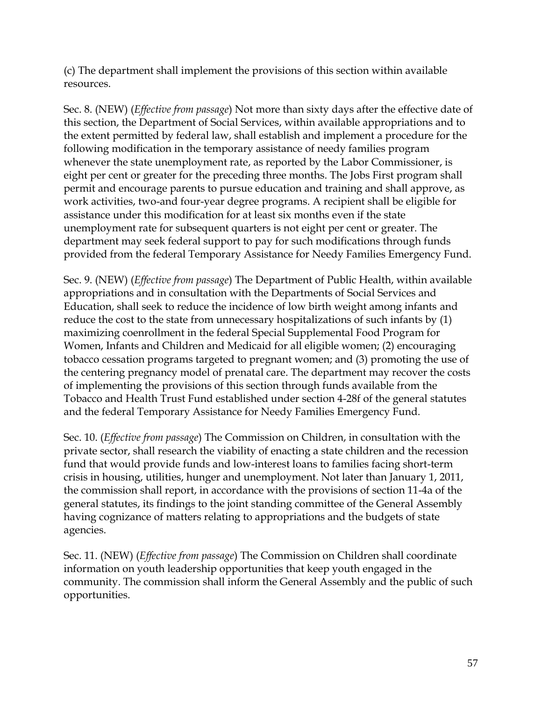(c) The department shall implement the provisions of this section within available resources.

Sec. 8. (NEW) (*Effective from passage*) Not more than sixty days after the effective date of this section, the Department of Social Services, within available appropriations and to the extent permitted by federal law, shall establish and implement a procedure for the following modification in the temporary assistance of needy families program whenever the state unemployment rate, as reported by the Labor Commissioner, is eight per cent or greater for the preceding three months. The Jobs First program shall permit and encourage parents to pursue education and training and shall approve, as work activities, two-and four-year degree programs. A recipient shall be eligible for assistance under this modification for at least six months even if the state unemployment rate for subsequent quarters is not eight per cent or greater. The department may seek federal support to pay for such modifications through funds provided from the federal Temporary Assistance for Needy Families Emergency Fund.

Sec. 9. (NEW) (*Effective from passage*) The Department of Public Health, within available appropriations and in consultation with the Departments of Social Services and Education, shall seek to reduce the incidence of low birth weight among infants and reduce the cost to the state from unnecessary hospitalizations of such infants by (1) maximizing coenrollment in the federal Special Supplemental Food Program for Women, Infants and Children and Medicaid for all eligible women; (2) encouraging tobacco cessation programs targeted to pregnant women; and (3) promoting the use of the centering pregnancy model of prenatal care. The department may recover the costs of implementing the provisions of this section through funds available from the Tobacco and Health Trust Fund established under section 4-28f of the general statutes and the federal Temporary Assistance for Needy Families Emergency Fund.

Sec. 10. (*Effective from passage*) The Commission on Children, in consultation with the private sector, shall research the viability of enacting a state children and the recession fund that would provide funds and low-interest loans to families facing short-term crisis in housing, utilities, hunger and unemployment. Not later than January 1, 2011, the commission shall report, in accordance with the provisions of section 11-4a of the general statutes, its findings to the joint standing committee of the General Assembly having cognizance of matters relating to appropriations and the budgets of state agencies.

Sec. 11. (NEW) (*Effective from passage*) The Commission on Children shall coordinate information on youth leadership opportunities that keep youth engaged in the community. The commission shall inform the General Assembly and the public of such opportunities.